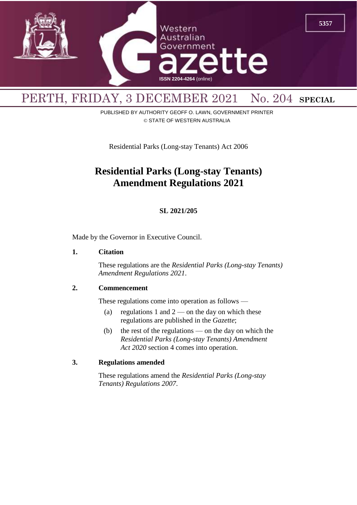

# PERTH, FRIDAY, 3 DECEMBER 2021 No. 204 **SPECIAL**

PUBLISHED BY AUTHORITY GEOFF O. LAWN, GOVERNMENT PRINTER © STATE OF WESTERN AUSTRALIA

Residential Parks (Long-stay Tenants) Act 2006

## **Residential Parks (Long-stay Tenants) Amendment Regulations 2021**

## **SL 2021/205**

Made by the Governor in Executive Council.

#### **1. Citation**

These regulations are the *Residential Parks (Long-stay Tenants) Amendment Regulations 2021*.

## **2. Commencement**

These regulations come into operation as follows —

- (a) regulations 1 and  $2$  on the day on which these regulations are published in the *Gazette*;
- (b) the rest of the regulations on the day on which the *Residential Parks (Long-stay Tenants) Amendment Act 2020* section 4 comes into operation.

## **3. Regulations amended**

These regulations amend the *Residential Parks (Long-stay Tenants) Regulations 2007*.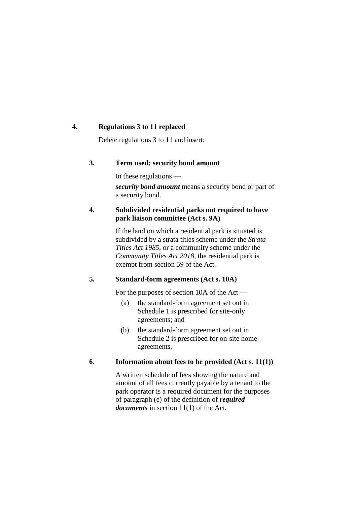## **4. Regulations 3 to 11 replaced**

Delete regulations 3 to 11 and insert:

## **3. Term used: security bond amount**

In these regulations *security bond amount* means a security bond or part of a security bond.

## **4. Subdivided residential parks not required to have park liaison committee (Act s. 9A)**

If the land on which a residential park is situated is subdivided by a strata titles scheme under the *Strata Titles Act 1985*, or a community scheme under the *Community Titles Act 2018*, the residential park is exempt from section 59 of the Act.

## **5. Standard-form agreements (Act s. 10A)**

For the purposes of section 10A of the Act —

- (a) the standard-form agreement set out in Schedule 1 is prescribed for site-only agreements; and
- (b) the standard-form agreement set out in Schedule 2 is prescribed for on-site home agreements.

## **6. Information about fees to be provided (Act s. 11(1))**

A written schedule of fees showing the nature and amount of all fees currently payable by a tenant to the park operator is a required document for the purposes of paragraph (e) of the definition of *required documents* in section 11(1) of the Act.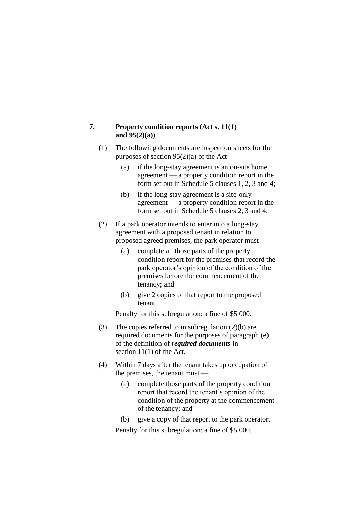## **7. Property condition reports (Act s. 11(1) and 95(2)(a))**

- (1) The following documents are inspection sheets for the purposes of section  $95(2)(a)$  of the Act —
	- (a) if the long-stay agreement is an on-site home agreement — a property condition report in the form set out in Schedule 5 clauses 1, 2, 3 and 4;
	- (b) if the long-stay agreement is a site-only agreement — a property condition report in the form set out in Schedule 5 clauses 2, 3 and 4.
- (2) If a park operator intends to enter into a long-stay agreement with a proposed tenant in relation to proposed agreed premises, the park operator must —
	- (a) complete all those parts of the property condition report for the premises that record the park operator's opinion of the condition of the premises before the commencement of the tenancy; and
	- (b) give 2 copies of that report to the proposed tenant.

Penalty for this subregulation: a fine of \$5 000.

- (3) The copies referred to in subregulation (2)(b) are required documents for the purposes of paragraph (e) of the definition of *required documents* in section 11(1) of the Act.
- (4) Within 7 days after the tenant takes up occupation of the premises, the tenant must —
	- (a) complete those parts of the property condition report that record the tenant's opinion of the condition of the property at the commencement of the tenancy; and
	- (b) give a copy of that report to the park operator.

Penalty for this subregulation: a fine of \$5 000.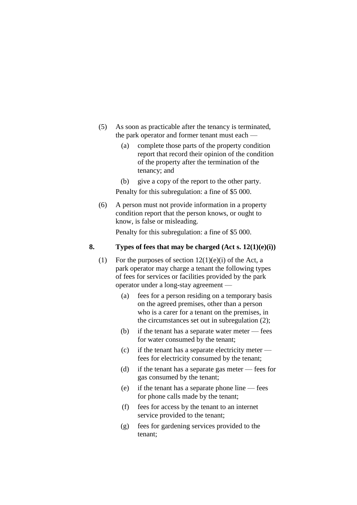- (5) As soon as practicable after the tenancy is terminated, the park operator and former tenant must each —
	- (a) complete those parts of the property condition report that record their opinion of the condition of the property after the termination of the tenancy; and
	- (b) give a copy of the report to the other party.

Penalty for this subregulation: a fine of \$5 000.

(6) A person must not provide information in a property condition report that the person knows, or ought to know, is false or misleading.

Penalty for this subregulation: a fine of \$5 000.

## **8. Types of fees that may be charged (Act s. 12(1)(e)(i))**

- (1) For the purposes of section  $12(1)(e)(i)$  of the Act, a park operator may charge a tenant the following types of fees for services or facilities provided by the park operator under a long-stay agreement —
	- (a) fees for a person residing on a temporary basis on the agreed premises, other than a person who is a carer for a tenant on the premises, in the circumstances set out in subregulation (2);
	- (b) if the tenant has a separate water meter fees for water consumed by the tenant;
	- (c) if the tenant has a separate electricity meter fees for electricity consumed by the tenant;
	- (d) if the tenant has a separate gas meter fees for gas consumed by the tenant;
	- (e) if the tenant has a separate phone line fees for phone calls made by the tenant;
	- (f) fees for access by the tenant to an internet service provided to the tenant;
	- (g) fees for gardening services provided to the tenant;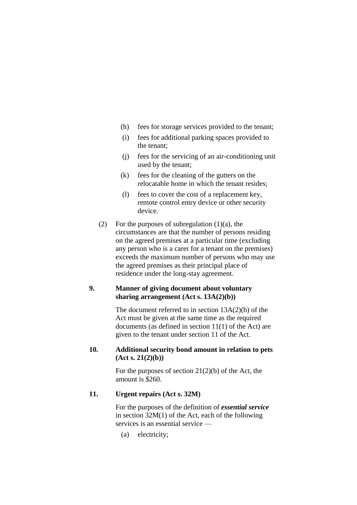- (h) fees for storage services provided to the tenant;
- (i) fees for additional parking spaces provided to the tenant;
- (j) fees for the servicing of an air-conditioning unit used by the tenant;
- (k) fees for the cleaning of the gutters on the relocatable home in which the tenant resides;
- (l) fees to cover the cost of a replacement key, remote control entry device or other security device.
- (2) For the purposes of subregulation  $(1)(a)$ , the circumstances are that the number of persons residing on the agreed premises at a particular time (excluding any person who is a carer for a tenant on the premises) exceeds the maximum number of persons who may use the agreed premises as their principal place of residence under the long-stay agreement.

## **9. Manner of giving document about voluntary sharing arrangement (Act s. 13A(2)(b))**

The document referred to in section 13A(2)(b) of the Act must be given at the same time as the required documents (as defined in section 11(1) of the Act) are given to the tenant under section 11 of the Act.

## **10. Additional security bond amount in relation to pets (Act s. 21(2)(b))**

For the purposes of section  $21(2)(b)$  of the Act, the amount is \$260.

## **11. Urgent repairs (Act s. 32M)**

For the purposes of the definition of *essential service* in section 32M(1) of the Act, each of the following services is an essential service —

(a) electricity;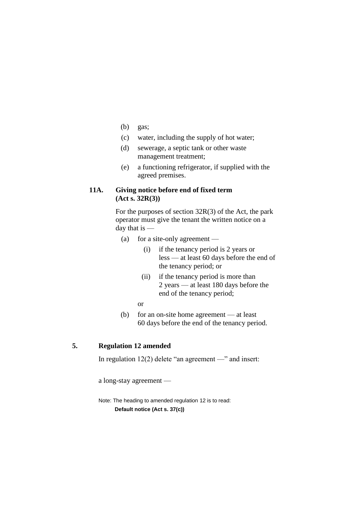- (b) gas;
- (c) water, including the supply of hot water;
- (d) sewerage, a septic tank or other waste management treatment;
- (e) a functioning refrigerator, if supplied with the agreed premises.

## **11A. Giving notice before end of fixed term (Act s. 32R(3))**

For the purposes of section 32R(3) of the Act, the park operator must give the tenant the written notice on a day that is —

- (a) for a site-only agreement
	- (i) if the tenancy period is 2 years or less — at least 60 days before the end of the tenancy period; or
	- (ii) if the tenancy period is more than 2 years — at least 180 days before the end of the tenancy period;
	- or
- (b) for an on-site home agreement at least 60 days before the end of the tenancy period.

## **5. Regulation 12 amended**

In regulation 12(2) delete "an agreement —" and insert:

a long-stay agreement —

Note: The heading to amended regulation 12 is to read: **Default notice (Act s. 37(c))**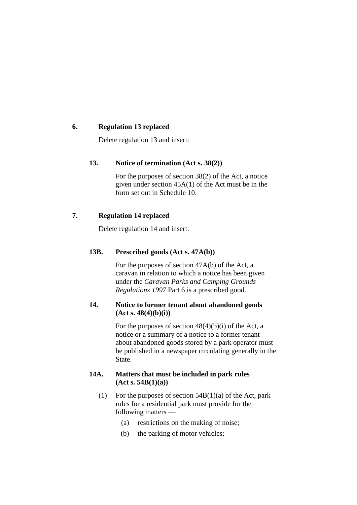## **6. Regulation 13 replaced**

Delete regulation 13 and insert:

## **13. Notice of termination (Act s. 38(2))**

For the purposes of section 38(2) of the Act, a notice given under section 45A(1) of the Act must be in the form set out in Schedule 10.

## **7. Regulation 14 replaced**

Delete regulation 14 and insert:

## **13B. Prescribed goods (Act s. 47A(b))**

For the purposes of section 47A(b) of the Act, a caravan in relation to which a notice has been given under the *Caravan Parks and Camping Grounds Regulations 1997* Part 6 is a prescribed good.

## **14. Notice to former tenant about abandoned goods (Act s. 48(4)(b)(i))**

For the purposes of section  $48(4)(b)(i)$  of the Act, a notice or a summary of a notice to a former tenant about abandoned goods stored by a park operator must be published in a newspaper circulating generally in the State.

## **14A. Matters that must be included in park rules (Act s. 54B(1)(a))**

- (1) For the purposes of section  $54B(1)(a)$  of the Act, park rules for a residential park must provide for the following matters —
	- (a) restrictions on the making of noise;
	- (b) the parking of motor vehicles;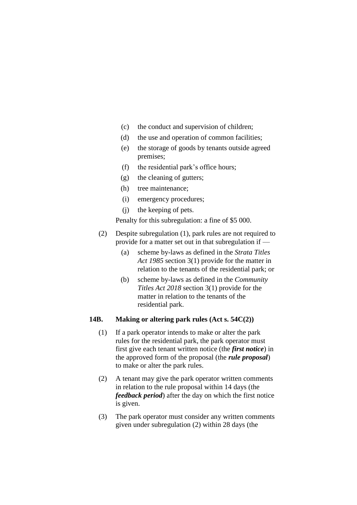- (c) the conduct and supervision of children;
- (d) the use and operation of common facilities;
- (e) the storage of goods by tenants outside agreed premises;
- (f) the residential park's office hours;
- (g) the cleaning of gutters;
- (h) tree maintenance;
- (i) emergency procedures;
- (j) the keeping of pets.

Penalty for this subregulation: a fine of \$5 000.

- (2) Despite subregulation (1), park rules are not required to provide for a matter set out in that subregulation if —
	- (a) scheme by-laws as defined in the *Strata Titles Act 1985* section 3(1) provide for the matter in relation to the tenants of the residential park; or
	- (b) scheme by-laws as defined in the *Community Titles Act 2018* section 3(1) provide for the matter in relation to the tenants of the residential park.

## **14B. Making or altering park rules (Act s. 54C(2))**

- (1) If a park operator intends to make or alter the park rules for the residential park, the park operator must first give each tenant written notice (the *first notice*) in the approved form of the proposal (the *rule proposal*) to make or alter the park rules.
- (2) A tenant may give the park operator written comments in relation to the rule proposal within 14 days (the *feedback period*) after the day on which the first notice is given.
- (3) The park operator must consider any written comments given under subregulation (2) within 28 days (the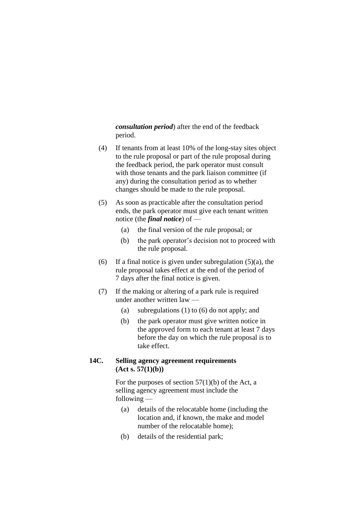*consultation period*) after the end of the feedback period.

- (4) If tenants from at least 10% of the long-stay sites object to the rule proposal or part of the rule proposal during the feedback period, the park operator must consult with those tenants and the park liaison committee (if any) during the consultation period as to whether changes should be made to the rule proposal.
- (5) As soon as practicable after the consultation period ends, the park operator must give each tenant written notice (the *final notice*) of —
	- (a) the final version of the rule proposal; or
	- (b) the park operator's decision not to proceed with the rule proposal.
- (6) If a final notice is given under subregulation  $(5)(a)$ , the rule proposal takes effect at the end of the period of 7 days after the final notice is given.
- (7) If the making or altering of a park rule is required under another written law —
	- (a) subregulations (1) to (6) do not apply; and
	- (b) the park operator must give written notice in the approved form to each tenant at least 7 days before the day on which the rule proposal is to take effect.

## **14C. Selling agency agreement requirements (Act s. 57(1)(b))**

For the purposes of section  $57(1)(b)$  of the Act, a selling agency agreement must include the following —

- (a) details of the relocatable home (including the location and, if known, the make and model number of the relocatable home);
- (b) details of the residential park;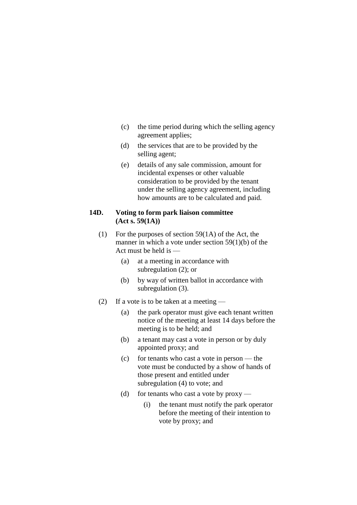- (c) the time period during which the selling agency agreement applies;
- (d) the services that are to be provided by the selling agent;
- (e) details of any sale commission, amount for incidental expenses or other valuable consideration to be provided by the tenant under the selling agency agreement, including how amounts are to be calculated and paid.

## **14D. Voting to form park liaison committee (Act s. 59(1A))**

- (1) For the purposes of section 59(1A) of the Act, the manner in which a vote under section 59(1)(b) of the Act must be held is —
	- (a) at a meeting in accordance with subregulation (2); or
	- (b) by way of written ballot in accordance with subregulation (3).
- (2) If a vote is to be taken at a meeting
	- (a) the park operator must give each tenant written notice of the meeting at least 14 days before the meeting is to be held; and
	- (b) a tenant may cast a vote in person or by duly appointed proxy; and
	- (c) for tenants who cast a vote in person the vote must be conducted by a show of hands of those present and entitled under subregulation (4) to vote; and
	- (d) for tenants who cast a vote by  $proxy$ 
		- (i) the tenant must notify the park operator before the meeting of their intention to vote by proxy; and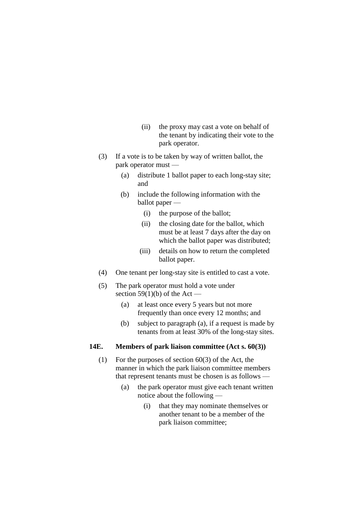- (ii) the proxy may cast a vote on behalf of the tenant by indicating their vote to the park operator.
- (3) If a vote is to be taken by way of written ballot, the park operator must —
	- (a) distribute 1 ballot paper to each long-stay site; and
	- (b) include the following information with the ballot paper —
		- (i) the purpose of the ballot;
		- (ii) the closing date for the ballot, which must be at least 7 days after the day on which the ballot paper was distributed;
		- (iii) details on how to return the completed ballot paper.
- (4) One tenant per long-stay site is entitled to cast a vote.
- (5) The park operator must hold a vote under section 59(1)(b) of the Act —
	- (a) at least once every 5 years but not more frequently than once every 12 months; and
	- (b) subject to paragraph (a), if a request is made by tenants from at least 30% of the long-stay sites.

## **14E. Members of park liaison committee (Act s. 60(3))**

- (1) For the purposes of section  $60(3)$  of the Act, the manner in which the park liaison committee members that represent tenants must be chosen is as follows —
	- (a) the park operator must give each tenant written notice about the following —
		- (i) that they may nominate themselves or another tenant to be a member of the park liaison committee;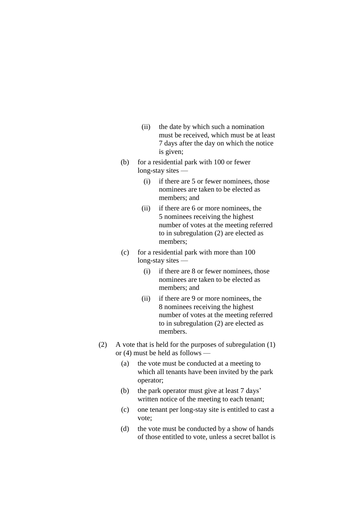- (ii) the date by which such a nomination must be received, which must be at least 7 days after the day on which the notice is given;
- (b) for a residential park with 100 or fewer long-stay sites —
	- (i) if there are 5 or fewer nominees, those nominees are taken to be elected as members; and
	- (ii) if there are 6 or more nominees, the 5 nominees receiving the highest number of votes at the meeting referred to in subregulation (2) are elected as members;
- (c) for a residential park with more than 100 long-stay sites —
	- (i) if there are 8 or fewer nominees, those nominees are taken to be elected as members; and
	- (ii) if there are 9 or more nominees, the 8 nominees receiving the highest number of votes at the meeting referred to in subregulation (2) are elected as members.
- (2) A vote that is held for the purposes of subregulation (1) or (4) must be held as follows —
	- (a) the vote must be conducted at a meeting to which all tenants have been invited by the park operator;
	- (b) the park operator must give at least 7 days' written notice of the meeting to each tenant;
	- (c) one tenant per long-stay site is entitled to cast a vote;
	- (d) the vote must be conducted by a show of hands of those entitled to vote, unless a secret ballot is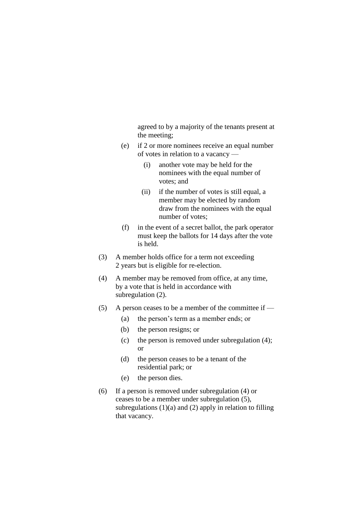agreed to by a majority of the tenants present at the meeting;

- (e) if 2 or more nominees receive an equal number of votes in relation to a vacancy —
	- (i) another vote may be held for the nominees with the equal number of votes; and
	- (ii) if the number of votes is still equal, a member may be elected by random draw from the nominees with the equal number of votes;
- (f) in the event of a secret ballot, the park operator must keep the ballots for 14 days after the vote is held.
- (3) A member holds office for a term not exceeding 2 years but is eligible for re-election.
- (4) A member may be removed from office, at any time, by a vote that is held in accordance with subregulation  $(2)$ .
- (5) A person ceases to be a member of the committee if  $-$ 
	- (a) the person's term as a member ends; or
	- (b) the person resigns; or
	- (c) the person is removed under subregulation (4); or
	- (d) the person ceases to be a tenant of the residential park; or
	- (e) the person dies.
- (6) If a person is removed under subregulation (4) or ceases to be a member under subregulation (5), subregulations  $(1)(a)$  and  $(2)$  apply in relation to filling that vacancy.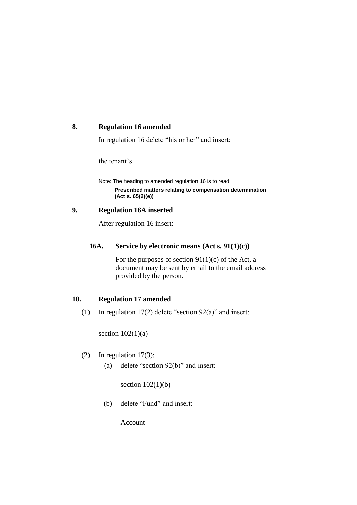#### **8. Regulation 16 amended**

In regulation 16 delete "his or her" and insert:

the tenant's

Note: The heading to amended regulation 16 is to read: **Prescribed matters relating to compensation determination (Act s. 65(2)(e))**

## **9. Regulation 16A inserted**

After regulation 16 insert:

## **16A. Service by electronic means (Act s. 91(1)(c))**

For the purposes of section  $91(1)(c)$  of the Act, a document may be sent by email to the email address provided by the person.

## **10. Regulation 17 amended**

(1) In regulation  $17(2)$  delete "section  $92(a)$ " and insert:

section  $102(1)(a)$ 

- (2) In regulation 17(3):
	- (a) delete "section 92(b)" and insert:

section  $102(1)(b)$ 

(b) delete "Fund" and insert:

Account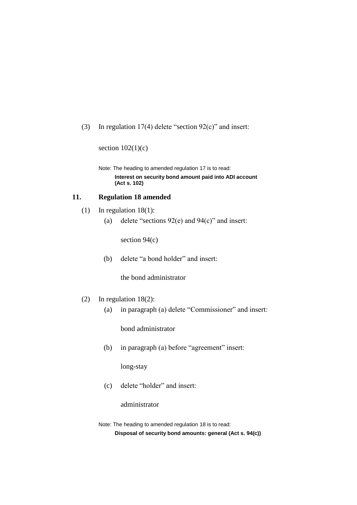(3) In regulation 17(4) delete "section 92(c)" and insert:

section  $102(1)(c)$ 

Note: The heading to amended regulation 17 is to read: **Interest on security bond amount paid into ADI account (Act s. 102)**

#### **11. Regulation 18 amended**

- (1) In regulation 18(1):
	- (a) delete "sections  $92(e)$  and  $94(c)$ " and insert:

section 94(c)

(b) delete "a bond holder" and insert:

the bond administrator

- (2) In regulation 18(2):
	- (a) in paragraph (a) delete "Commissioner" and insert:

bond administrator

(b) in paragraph (a) before "agreement" insert:

long-stay

(c) delete "holder" and insert:

administrator

Note: The heading to amended regulation 18 is to read: **Disposal of security bond amounts: general (Act s. 94(c))**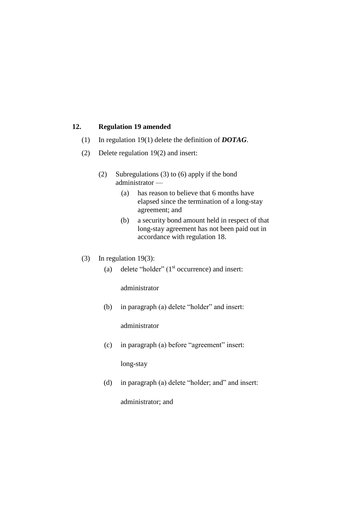## **12. Regulation 19 amended**

- (1) In regulation 19(1) delete the definition of *DOTAG*.
- (2) Delete regulation 19(2) and insert:
	- (2) Subregulations (3) to (6) apply if the bond administrator —
		- (a) has reason to believe that 6 months have elapsed since the termination of a long-stay agreement; and
		- (b) a security bond amount held in respect of that long-stay agreement has not been paid out in accordance with regulation 18.
- (3) In regulation 19(3):
	- (a) delete "holder"  $(1<sup>st</sup>$  occurrence) and insert:

administrator

(b) in paragraph (a) delete "holder" and insert:

administrator

(c) in paragraph (a) before "agreement" insert:

long-stay

(d) in paragraph (a) delete "holder; and" and insert:

administrator; and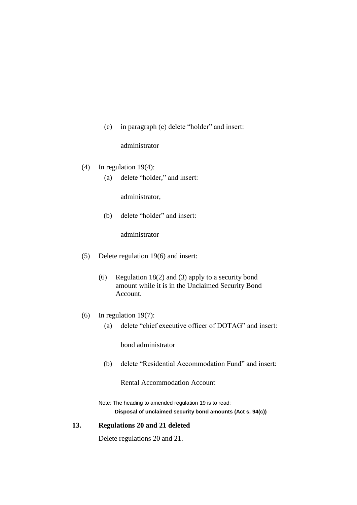(e) in paragraph (c) delete "holder" and insert:

administrator

- (4) In regulation 19(4):
	- (a) delete "holder," and insert:

administrator,

(b) delete "holder" and insert:

administrator

- (5) Delete regulation 19(6) and insert:
	- (6) Regulation 18(2) and (3) apply to a security bond amount while it is in the Unclaimed Security Bond Account.
- (6) In regulation 19(7):
	- (a) delete "chief executive officer of DOTAG" and insert:

bond administrator

(b) delete "Residential Accommodation Fund" and insert:

Rental Accommodation Account

Note: The heading to amended regulation 19 is to read: **Disposal of unclaimed security bond amounts (Act s. 94(c))**

## **13. Regulations 20 and 21 deleted**

Delete regulations 20 and 21.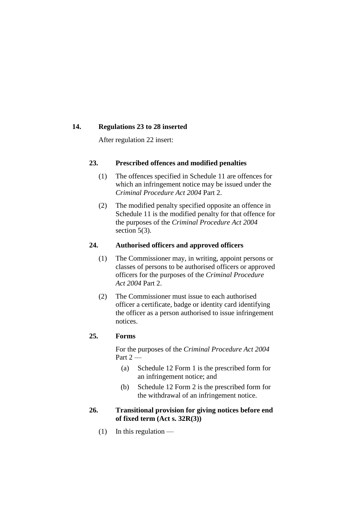#### **14. Regulations 23 to 28 inserted**

After regulation 22 insert:

## **23. Prescribed offences and modified penalties**

- (1) The offences specified in Schedule 11 are offences for which an infringement notice may be issued under the *Criminal Procedure Act 2004* Part 2.
- (2) The modified penalty specified opposite an offence in Schedule 11 is the modified penalty for that offence for the purposes of the *Criminal Procedure Act 2004* section 5(3).

## **24. Authorised officers and approved officers**

- (1) The Commissioner may, in writing, appoint persons or classes of persons to be authorised officers or approved officers for the purposes of the *Criminal Procedure Act 2004* Part 2.
- (2) The Commissioner must issue to each authorised officer a certificate, badge or identity card identifying the officer as a person authorised to issue infringement notices.

## **25. Forms**

For the purposes of the *Criminal Procedure Act 2004* Part  $2-$ 

- (a) Schedule 12 Form 1 is the prescribed form for an infringement notice; and
- (b) Schedule 12 Form 2 is the prescribed form for the withdrawal of an infringement notice.
- **26. Transitional provision for giving notices before end of fixed term (Act s. 32R(3))**
	- $(1)$  In this regulation —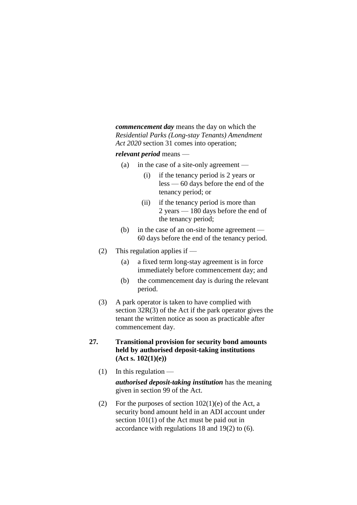*commencement day* means the day on which the *Residential Parks (Long-stay Tenants) Amendment Act 2020* section 31 comes into operation;

*relevant period* means —

- (a) in the case of a site-only agreement
	- (i) if the tenancy period is 2 years or less — 60 days before the end of the tenancy period; or
	- (ii) if the tenancy period is more than 2 years — 180 days before the end of the tenancy period;
- (b) in the case of an on-site home agreement 60 days before the end of the tenancy period.
- (2) This regulation applies if
	- (a) a fixed term long-stay agreement is in force immediately before commencement day; and
	- (b) the commencement day is during the relevant period.
- (3) A park operator is taken to have complied with section 32R(3) of the Act if the park operator gives the tenant the written notice as soon as practicable after commencement day.
- **27. Transitional provision for security bond amounts held by authorised deposit-taking institutions (Act s. 102(1)(e))**
	- $(1)$  In this regulation —

*authorised deposit-taking institution* has the meaning given in section 99 of the Act.

(2) For the purposes of section  $102(1)(e)$  of the Act, a security bond amount held in an ADI account under section 101(1) of the Act must be paid out in accordance with regulations 18 and 19(2) to (6).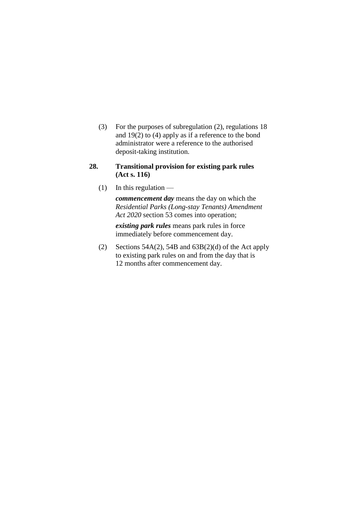(3) For the purposes of subregulation (2), regulations 18 and 19(2) to (4) apply as if a reference to the bond administrator were a reference to the authorised deposit-taking institution.

## **28. Transitional provision for existing park rules (Act s. 116)**

 $(1)$  In this regulation —

*commencement day* means the day on which the *Residential Parks (Long-stay Tenants) Amendment Act 2020* section 53 comes into operation;

*existing park rules* means park rules in force immediately before commencement day.

(2) Sections 54A(2), 54B and  $63B(2)(d)$  of the Act apply to existing park rules on and from the day that is 12 months after commencement day.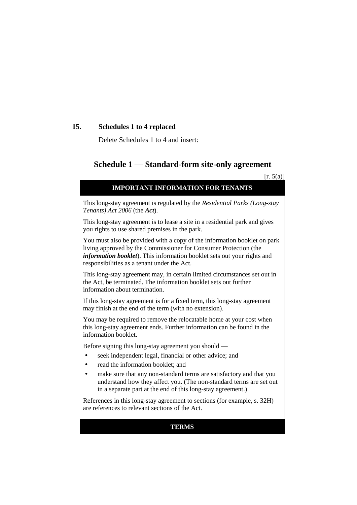## **15. Schedules 1 to 4 replaced**

Delete Schedules 1 to 4 and insert:

## **Schedule 1 — Standard-form site-only agreement**

 $[r. 5(a)]$ 

| $[1 \cdot \cup (u)]$                                                                                                                                                                                                                                                   |
|------------------------------------------------------------------------------------------------------------------------------------------------------------------------------------------------------------------------------------------------------------------------|
| <b>IMPORTANT INFORMATION FOR TENANTS</b>                                                                                                                                                                                                                               |
| This long-stay agreement is regulated by the Residential Parks (Long-stay<br>Tenants) Act 2006 (the Act).                                                                                                                                                              |
| This long-stay agreement is to lease a site in a residential park and gives<br>you rights to use shared premises in the park.                                                                                                                                          |
| You must also be provided with a copy of the information booklet on park<br>living approved by the Commissioner for Consumer Protection (the<br>information booklet). This information booklet sets out your rights and<br>responsibilities as a tenant under the Act. |
| This long-stay agreement may, in certain limited circumstances set out in<br>the Act, be terminated. The information booklet sets out further<br>information about termination.                                                                                        |
| If this long-stay agreement is for a fixed term, this long-stay agreement<br>may finish at the end of the term (with no extension).                                                                                                                                    |
| You may be required to remove the relocatable home at your cost when<br>this long-stay agreement ends. Further information can be found in the<br>information booklet.                                                                                                 |
| Before signing this long-stay agreement you should —                                                                                                                                                                                                                   |
| seek independent legal, financial or other advice; and                                                                                                                                                                                                                 |
| read the information booklet; and                                                                                                                                                                                                                                      |
| make sure that any non-standard terms are satisfactory and that you<br>understand how they affect you. (The non-standard terms are set out<br>in a separate part at the end of this long-stay agreement.)                                                              |
| References in this long-stay agreement to sections (for example, s. 32H)<br>are references to relevant sections of the Act.                                                                                                                                            |

## **TERMS**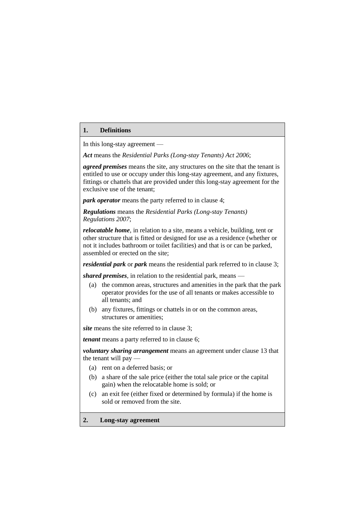#### **1. Definitions**

In this long-stay agreement —

*Act* means the *Residential Parks (Long-stay Tenants) Act 2006*;

*agreed premises* means the site, any structures on the site that the tenant is entitled to use or occupy under this long-stay agreement, and any fixtures, fittings or chattels that are provided under this long-stay agreement for the exclusive use of the tenant;

*park operator* means the party referred to in clause 4;

*Regulations* means the *Residential Parks (Long-stay Tenants) Regulations 2007*;

*relocatable home*, in relation to a site, means a vehicle, building, tent or other structure that is fitted or designed for use as a residence (whether or not it includes bathroom or toilet facilities) and that is or can be parked, assembled or erected on the site;

*residential park* or *park* means the residential park referred to in clause 3;

*shared premises*, in relation to the residential park, means —

- (a) the common areas, structures and amenities in the park that the park operator provides for the use of all tenants or makes accessible to all tenants; and
- (b) any fixtures, fittings or chattels in or on the common areas, structures or amenities;

*site* means the site referred to in clause 3;

*tenant* means a party referred to in clause 6;

*voluntary sharing arrangement* means an agreement under clause 13 that the tenant will pay —

- (a) rent on a deferred basis; or
- (b) a share of the sale price (either the total sale price or the capital gain) when the relocatable home is sold; or
- (c) an exit fee (either fixed or determined by formula) if the home is sold or removed from the site.

#### **2. Long-stay agreement**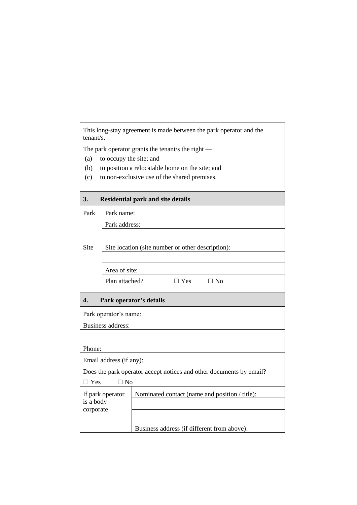| This long-stay agreement is made between the park operator and the<br>tenant/s. |                                                     |                                                                     |  |
|---------------------------------------------------------------------------------|-----------------------------------------------------|---------------------------------------------------------------------|--|
|                                                                                 | The park operator grants the tenant/s the right $-$ |                                                                     |  |
| (a)                                                                             | to occupy the site; and                             |                                                                     |  |
| (b)                                                                             |                                                     | to position a relocatable home on the site; and                     |  |
| (c)                                                                             |                                                     | to non-exclusive use of the shared premises.                        |  |
|                                                                                 |                                                     |                                                                     |  |
| 3.                                                                              |                                                     | <b>Residential park and site details</b>                            |  |
| Park                                                                            | Park name:                                          |                                                                     |  |
|                                                                                 | Park address:                                       |                                                                     |  |
|                                                                                 |                                                     |                                                                     |  |
| Site                                                                            | Site location (site number or other description):   |                                                                     |  |
|                                                                                 |                                                     |                                                                     |  |
|                                                                                 | Area of site:                                       |                                                                     |  |
|                                                                                 | Plan attached?<br>$\Box$ Yes<br>$\Box$ No           |                                                                     |  |
| 4.<br>Park operator's details                                                   |                                                     |                                                                     |  |
|                                                                                 | Park operator's name:                               |                                                                     |  |
| <b>Business address:</b>                                                        |                                                     |                                                                     |  |
|                                                                                 |                                                     |                                                                     |  |
| Phone:                                                                          |                                                     |                                                                     |  |
| Email address (if any):                                                         |                                                     |                                                                     |  |
|                                                                                 |                                                     | Does the park operator accept notices and other documents by email? |  |
| $\Box$ Yes<br>$\Box$ No                                                         |                                                     |                                                                     |  |
|                                                                                 | If park operator                                    | Nominated contact (name and position / title):                      |  |
| is a body                                                                       |                                                     |                                                                     |  |
| corporate                                                                       |                                                     |                                                                     |  |
|                                                                                 |                                                     | Business address (if different from above):                         |  |
|                                                                                 |                                                     |                                                                     |  |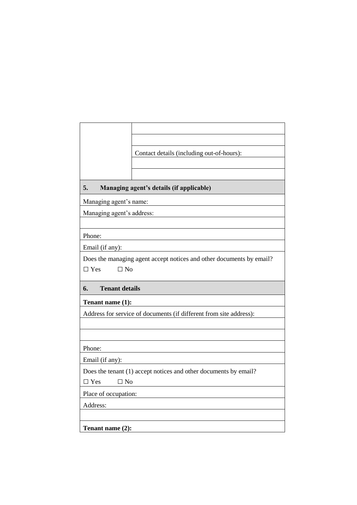|                             | Contact details (including out-of-hours):                            |
|-----------------------------|----------------------------------------------------------------------|
|                             |                                                                      |
|                             |                                                                      |
| 5.                          | Managing agent's details (if applicable)                             |
| Managing agent's name:      |                                                                      |
| Managing agent's address:   |                                                                      |
|                             |                                                                      |
| Phone:                      |                                                                      |
| Email (if any):             |                                                                      |
| $\Box$ Yes<br>$\Box$ No     | Does the managing agent accept notices and other documents by email? |
| 6.<br><b>Tenant details</b> |                                                                      |
| Tenant name (1):            |                                                                      |
|                             | Address for service of documents (if different from site address):   |
|                             |                                                                      |
|                             |                                                                      |
| Phone:                      |                                                                      |
|                             |                                                                      |
| Email (if any):             |                                                                      |
|                             | Does the tenant (1) accept notices and other documents by email?     |
| $\Box$ Yes<br>$\Box$ No     |                                                                      |
| Place of occupation:        |                                                                      |
| Address:                    |                                                                      |
|                             |                                                                      |
| Tenant name (2):            |                                                                      |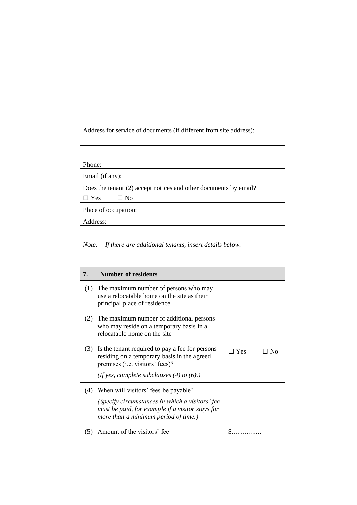Address for service of documents (if different from site address):

Phone:

Email (if any):

Does the tenant (2) accept notices and other documents by email?

 $\square$  Yes  $\square$  No

Place of occupation:

Address:

*Note: If there are additional tenants, insert details below.*

| 7.  | <b>Number of residents</b>                                                                                                                                                          |            |     |
|-----|-------------------------------------------------------------------------------------------------------------------------------------------------------------------------------------|------------|-----|
|     | (1) The maximum number of persons who may<br>use a relocatable home on the site as their<br>principal place of residence                                                            |            |     |
| (2) | The maximum number of additional persons<br>who may reside on a temporary basis in a<br>relocatable home on the site                                                                |            |     |
| (3) | Is the tenant required to pay a fee for persons<br>residing on a temporary basis in the agreed<br>premises (i.e. visitors' fees)?<br>(If yes, complete subclauses $(4)$ to $(6)$ .) | $\neg$ Yes | -No |
| (4) | When will visitors' fees be payable?<br>(Specify circumstances in which a visitors' fee<br>must be paid, for example if a visitor stays for<br>more than a minimum period of time.) |            |     |
|     | Amount of the visitors' fee                                                                                                                                                         |            |     |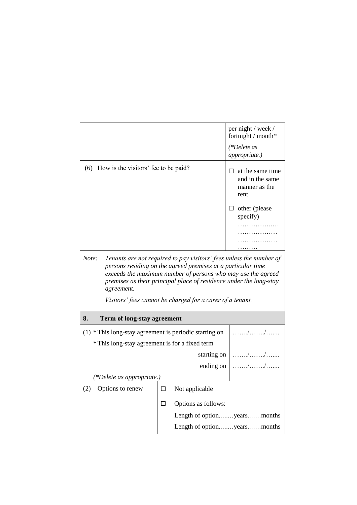|                                                          |                                                                                                                                                                                                                                                                                                                                        | per night / week /<br>fortnight / month*                               |
|----------------------------------------------------------|----------------------------------------------------------------------------------------------------------------------------------------------------------------------------------------------------------------------------------------------------------------------------------------------------------------------------------------|------------------------------------------------------------------------|
|                                                          |                                                                                                                                                                                                                                                                                                                                        | (*Delete as<br>appropriate.)                                           |
| How is the visitors' fee to be paid?<br>(6)              |                                                                                                                                                                                                                                                                                                                                        | at the same time<br>$\Box$<br>and in the same<br>manner as the<br>rent |
|                                                          |                                                                                                                                                                                                                                                                                                                                        | $\Box$ other (please<br>specify)                                       |
|                                                          |                                                                                                                                                                                                                                                                                                                                        | .                                                                      |
| Note:<br>agreement.                                      | Tenants are not required to pay visitors' fees unless the number of<br>persons residing on the agreed premises at a particular time<br>exceeds the maximum number of persons who may use the agreed<br>premises as their principal place of residence under the long-stay<br>Visitors' fees cannot be charged for a carer of a tenant. |                                                                        |
| 8.<br>Term of long-stay agreement                        |                                                                                                                                                                                                                                                                                                                                        |                                                                        |
| $(1)$ * This long-stay agreement is periodic starting on |                                                                                                                                                                                                                                                                                                                                        |                                                                        |
| * This long-stay agreement is for a fixed term           |                                                                                                                                                                                                                                                                                                                                        |                                                                        |
|                                                          | starting on                                                                                                                                                                                                                                                                                                                            |                                                                        |
|                                                          | ending on                                                                                                                                                                                                                                                                                                                              |                                                                        |
| (*Delete as appropriate.)                                |                                                                                                                                                                                                                                                                                                                                        |                                                                        |
| Options to renew<br>(2)                                  | Not applicable<br>$\Box$                                                                                                                                                                                                                                                                                                               |                                                                        |
|                                                          | П<br>Options as follows:                                                                                                                                                                                                                                                                                                               |                                                                        |
|                                                          |                                                                                                                                                                                                                                                                                                                                        | Length of optionyearsmonths                                            |
|                                                          |                                                                                                                                                                                                                                                                                                                                        | Length of optionyearsmonths                                            |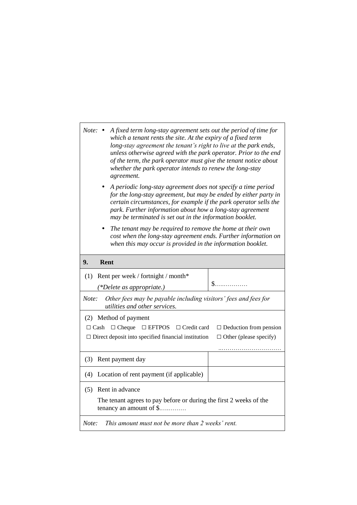| <i>Note</i> : $\bullet$<br>A fixed term long-stay agreement sets out the period of time for<br>which a tenant rents the site. At the expiry of a fixed term<br>long-stay agreement the tenant's right to live at the park ends,<br>unless otherwise agreed with the park operator. Prior to the end<br>of the term, the park operator must give the tenant notice about<br>whether the park operator intends to renew the long-stay<br>agreement. |                               |  |  |
|---------------------------------------------------------------------------------------------------------------------------------------------------------------------------------------------------------------------------------------------------------------------------------------------------------------------------------------------------------------------------------------------------------------------------------------------------|-------------------------------|--|--|
| A periodic long-stay agreement does not specify a time period<br>for the long-stay agreement, but may be ended by either party in<br>certain circumstances, for example if the park operator sells the<br>park. Further information about how a long-stay agreement<br>may be terminated is set out in the information booklet.                                                                                                                   |                               |  |  |
| The tenant may be required to remove the home at their own<br>٠<br>cost when the long-stay agreement ends. Further information on<br>when this may occur is provided in the information booklet.                                                                                                                                                                                                                                                  |                               |  |  |
| 9.<br>Rent                                                                                                                                                                                                                                                                                                                                                                                                                                        |                               |  |  |
| (1) Rent per week / fortnight / month*                                                                                                                                                                                                                                                                                                                                                                                                            |                               |  |  |
| (*Delete as appropriate.)                                                                                                                                                                                                                                                                                                                                                                                                                         | $S_{\dots}$                   |  |  |
| Note:<br>Other fees may be payable including visitors' fees and fees for<br>utilities and other services.                                                                                                                                                                                                                                                                                                                                         |                               |  |  |
| (2) Method of payment                                                                                                                                                                                                                                                                                                                                                                                                                             |                               |  |  |
| $\Box$ Cheque $\Box$ EFTPOS $\Box$ Credit card<br>$\Box$ Cash                                                                                                                                                                                                                                                                                                                                                                                     | $\Box$ Deduction from pension |  |  |
| $\Box$ Direct deposit into specified financial institution                                                                                                                                                                                                                                                                                                                                                                                        | $\Box$ Other (please specify) |  |  |
| Rent payment day<br>(3)                                                                                                                                                                                                                                                                                                                                                                                                                           |                               |  |  |
| Location of rent payment (if applicable)<br>(4)                                                                                                                                                                                                                                                                                                                                                                                                   |                               |  |  |
| Rent in advance<br>(5)                                                                                                                                                                                                                                                                                                                                                                                                                            |                               |  |  |
| The tenant agrees to pay before or during the first 2 weeks of the<br>tenancy an amount of \$                                                                                                                                                                                                                                                                                                                                                     |                               |  |  |
| This amount must not be more than 2 weeks' rent.<br>Note:                                                                                                                                                                                                                                                                                                                                                                                         |                               |  |  |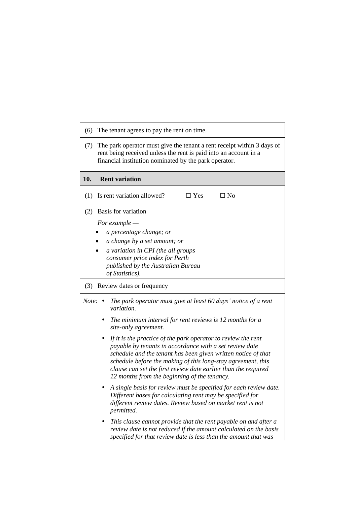| The tenant agrees to pay the rent on time.<br>(6)                                                                                                                                                                                                                                                                                                                                |           |  |
|----------------------------------------------------------------------------------------------------------------------------------------------------------------------------------------------------------------------------------------------------------------------------------------------------------------------------------------------------------------------------------|-----------|--|
| The park operator must give the tenant a rent receipt within 3 days of<br>(7)<br>rent being received unless the rent is paid into an account in a<br>financial institution nominated by the park operator.                                                                                                                                                                       |           |  |
| 10.<br><b>Rent variation</b>                                                                                                                                                                                                                                                                                                                                                     |           |  |
| Is rent variation allowed?<br>$\Box$ Yes<br>(1)                                                                                                                                                                                                                                                                                                                                  | $\Box$ No |  |
| Basis for variation<br>(2)                                                                                                                                                                                                                                                                                                                                                       |           |  |
| For example $-$                                                                                                                                                                                                                                                                                                                                                                  |           |  |
| a percentage change; or                                                                                                                                                                                                                                                                                                                                                          |           |  |
| a change by a set amount; or                                                                                                                                                                                                                                                                                                                                                     |           |  |
| a variation in CPI (the all groups<br>consumer price index for Perth<br>published by the Australian Bureau<br>of Statistics).                                                                                                                                                                                                                                                    |           |  |
| (3) Review dates or frequency                                                                                                                                                                                                                                                                                                                                                    |           |  |
| The park operator must give at least 60 days' notice of a rent<br>Note: $\bullet$<br>variation.                                                                                                                                                                                                                                                                                  |           |  |
| The minimum interval for rent reviews is 12 months for a<br>٠<br>site-only agreement.                                                                                                                                                                                                                                                                                            |           |  |
| If it is the practice of the park operator to review the rent<br>٠<br>payable by tenants in accordance with a set review date<br>schedule and the tenant has been given written notice of that<br>schedule before the making of this long-stay agreement, this<br>clause can set the first review date earlier than the required<br>12 months from the beginning of the tenancy. |           |  |
| • A single basis for review must be specified for each review date.<br>Different bases for calculating rent may be specified for<br>different review dates. Review based on market rent is not<br>permitted.                                                                                                                                                                     |           |  |
| This clause cannot provide that the rent payable on and after a<br>review date is not reduced if the amount calculated on the basis<br>specified for that review date is less than the amount that was                                                                                                                                                                           |           |  |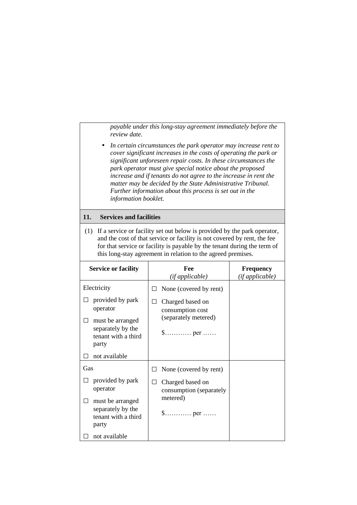*payable under this long-stay agreement immediately before the review date.*

 *In certain circumstances the park operator may increase rent to cover significant increases in the costs of operating the park or significant unforeseen repair costs. In these circumstances the park operator must give special notice about the proposed increase and if tenants do not agree to the increase in rent the matter may be decided by the State Administrative Tribunal. Further information about this process is set out in the information booklet.*

#### **11. Services and facilities**

(1) If a service or facility set out below is provided by the park operator, and the cost of that service or facility is not covered by rent, the fee for that service or facility is payable by the tenant during the term of this long-stay agreement in relation to the agreed premises.

| <b>Service or facility</b>                                                                            | Fee<br>(if applicable)                                                                                                         | <b>Frequency</b><br>(if applicable) |
|-------------------------------------------------------------------------------------------------------|--------------------------------------------------------------------------------------------------------------------------------|-------------------------------------|
| Electricity                                                                                           | None (covered by rent)                                                                                                         |                                     |
| provided by park<br>operator<br>must be arranged<br>separately by the<br>tenant with a third<br>party | Charged based on<br>consumption cost<br>(separately metered)<br>$\mathsf{\$}\dots\dots\dots\dots\text{per}\dots\dots$          |                                     |
| not available                                                                                         |                                                                                                                                |                                     |
| Gas                                                                                                   | None (covered by rent)                                                                                                         |                                     |
| provided by park<br>operator<br>must be arranged<br>separately by the<br>tenant with a third<br>party | Charged based on<br>ΙI<br>consumption (separately<br>metered)<br>$\text{\$} \ldots \ldots \ldots \text{.}$ per $\ldots \ldots$ |                                     |
| not available                                                                                         |                                                                                                                                |                                     |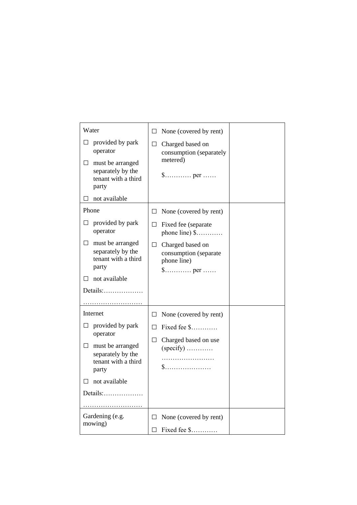| Water                                                                                                                                                                | $\Box$ None (covered by rent)                                                                                                                                  |
|----------------------------------------------------------------------------------------------------------------------------------------------------------------------|----------------------------------------------------------------------------------------------------------------------------------------------------------------|
| provided by park<br>⊔<br>operator<br>must be arranged<br>⊔<br>separately by the<br>tenant with a third<br>party                                                      | $\Box$<br>Charged based on<br>consumption (separately<br>metered)                                                                                              |
| not available<br>$\Box$                                                                                                                                              |                                                                                                                                                                |
| Phone<br>provided by park<br>$\Box$<br>operator<br>must be arranged<br>$\Box$<br>separately by the<br>tenant with a third<br>party<br>not available<br>П<br>Details: | $\Box$ None (covered by rent)<br>$\Box$ Fixed fee (separate<br>phone line) $$$<br>Charged based on<br>$\Box$<br>consumption (separate<br>phone line)<br>\$ per |
| Internet                                                                                                                                                             | None (covered by rent)<br>$\Box$                                                                                                                               |
| provided by park<br>⊔<br>operator<br>must be arranged<br>$\Box$<br>separately by the<br>tenant with a third<br>party                                                 | Fixed fee \$<br>$\Box$<br>Charged based on use<br>ш<br>$(specify)$<br>$\$\ldots\ldots\ldots\ldots\ldots\ldots\ldots$                                           |
| not available                                                                                                                                                        |                                                                                                                                                                |
| Details: $\ldots$                                                                                                                                                    |                                                                                                                                                                |
| Gardening (e.g.<br>mowing)                                                                                                                                           | None (covered by rent)<br>$\Box$<br>Fixed fee \$<br>$\Box$                                                                                                     |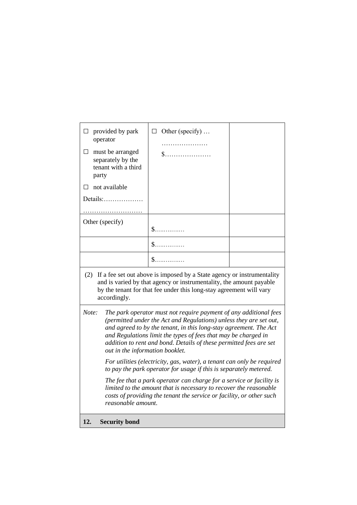| $\Box$                                                                                                                                                                                                                                      | provided by park<br>operator                                                                                                                                                                                                                                                                                                                                                                     | $\Box$ Other (specify)<br>. |  |
|---------------------------------------------------------------------------------------------------------------------------------------------------------------------------------------------------------------------------------------------|--------------------------------------------------------------------------------------------------------------------------------------------------------------------------------------------------------------------------------------------------------------------------------------------------------------------------------------------------------------------------------------------------|-----------------------------|--|
| $\Box$                                                                                                                                                                                                                                      | must be arranged<br>separately by the<br>tenant with a third<br>party                                                                                                                                                                                                                                                                                                                            |                             |  |
| П                                                                                                                                                                                                                                           | not available                                                                                                                                                                                                                                                                                                                                                                                    |                             |  |
|                                                                                                                                                                                                                                             |                                                                                                                                                                                                                                                                                                                                                                                                  |                             |  |
|                                                                                                                                                                                                                                             | Other (specify)                                                                                                                                                                                                                                                                                                                                                                                  | $\mathbb{S}$ .              |  |
|                                                                                                                                                                                                                                             |                                                                                                                                                                                                                                                                                                                                                                                                  | $\mathbb{S}$ .              |  |
|                                                                                                                                                                                                                                             |                                                                                                                                                                                                                                                                                                                                                                                                  | $\mathbb{S}$ .              |  |
| If a fee set out above is imposed by a State agency or instrumentality<br>(2)<br>and is varied by that agency or instrumentality, the amount payable<br>by the tenant for that fee under this long-stay agreement will vary<br>accordingly. |                                                                                                                                                                                                                                                                                                                                                                                                  |                             |  |
|                                                                                                                                                                                                                                             | The park operator must not require payment of any additional fees<br>Note:<br>(permitted under the Act and Regulations) unless they are set out,<br>and agreed to by the tenant, in this long-stay agreement. The Act<br>and Regulations limit the types of fees that may be charged in<br>addition to rent and bond. Details of these permitted fees are set<br>out in the information booklet. |                             |  |
|                                                                                                                                                                                                                                             | For utilities (electricity, gas, water), a tenant can only be required<br>to pay the park operator for usage if this is separately metered.                                                                                                                                                                                                                                                      |                             |  |
|                                                                                                                                                                                                                                             | The fee that a park operator can charge for a service or facility is<br>limited to the amount that is necessary to recover the reasonable<br>costs of providing the tenant the service or facility, or other such<br>reasonable amount.                                                                                                                                                          |                             |  |
| 12.                                                                                                                                                                                                                                         | <b>Security bond</b>                                                                                                                                                                                                                                                                                                                                                                             |                             |  |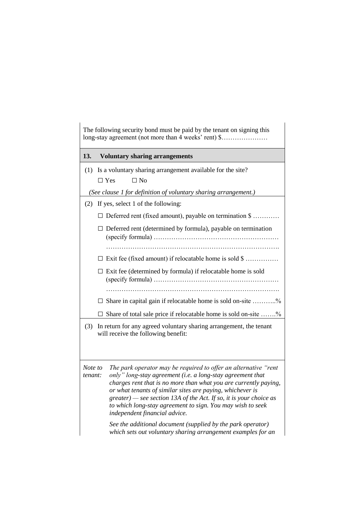| The following security bond must be paid by the tenant on signing this<br>long-stay agreement (not more than 4 weeks' rent) \$ |                                                                      |                                                                                                                                                                                                                                                                                                                                                                                                                                                                                                       |  |  |
|--------------------------------------------------------------------------------------------------------------------------------|----------------------------------------------------------------------|-------------------------------------------------------------------------------------------------------------------------------------------------------------------------------------------------------------------------------------------------------------------------------------------------------------------------------------------------------------------------------------------------------------------------------------------------------------------------------------------------------|--|--|
| 13.                                                                                                                            |                                                                      | <b>Voluntary sharing arrangements</b>                                                                                                                                                                                                                                                                                                                                                                                                                                                                 |  |  |
| (1)                                                                                                                            |                                                                      | Is a voluntary sharing arrangement available for the site?<br>$\Box$ No<br>$\Box$ Yes<br>(See clause 1 for definition of voluntary sharing arrangement.)                                                                                                                                                                                                                                                                                                                                              |  |  |
| (2)                                                                                                                            |                                                                      | If yes, select 1 of the following:                                                                                                                                                                                                                                                                                                                                                                                                                                                                    |  |  |
|                                                                                                                                |                                                                      | $\Box$ Deferred rent (fixed amount), payable on termination $\$\dots$                                                                                                                                                                                                                                                                                                                                                                                                                                 |  |  |
|                                                                                                                                |                                                                      | $\Box$ Deferred rent (determined by formula), payable on termination                                                                                                                                                                                                                                                                                                                                                                                                                                  |  |  |
|                                                                                                                                |                                                                      | $\Box$ Exit fee (fixed amount) if relocatable home is sold \$                                                                                                                                                                                                                                                                                                                                                                                                                                         |  |  |
|                                                                                                                                | $\Box$ Exit fee (determined by formula) if relocatable home is sold  |                                                                                                                                                                                                                                                                                                                                                                                                                                                                                                       |  |  |
|                                                                                                                                |                                                                      |                                                                                                                                                                                                                                                                                                                                                                                                                                                                                                       |  |  |
|                                                                                                                                | $\Box$ Share in capital gain if relocatable home is sold on-site %   |                                                                                                                                                                                                                                                                                                                                                                                                                                                                                                       |  |  |
|                                                                                                                                | Share of total sale price if relocatable home is sold on-site %<br>⊔ |                                                                                                                                                                                                                                                                                                                                                                                                                                                                                                       |  |  |
| In return for any agreed voluntary sharing arrangement, the tenant<br>(3)<br>will receive the following benefit:               |                                                                      |                                                                                                                                                                                                                                                                                                                                                                                                                                                                                                       |  |  |
| Note to<br>tenant:                                                                                                             |                                                                      | The park operator may be required to offer an alternative "rent<br>only" long-stay agreement (i.e. a long-stay agreement that<br>charges rent that is no more than what you are currently paying,<br>or what tenants of similar sites are paying, whichever is<br>$greater$ ) — see section 13A of the Act. If so, it is your choice as<br>to which long-stay agreement to sign. You may wish to seek<br>independent financial advice.<br>See the additional document (supplied by the park operator) |  |  |
|                                                                                                                                |                                                                      | which sets out voluntary sharing arrangement examples for an                                                                                                                                                                                                                                                                                                                                                                                                                                          |  |  |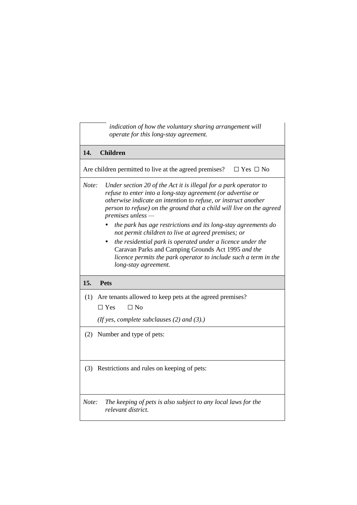| indication of how the voluntary sharing arrangement will<br>operate for this long-stay agreement.                                                                                                                                                                                                           |
|-------------------------------------------------------------------------------------------------------------------------------------------------------------------------------------------------------------------------------------------------------------------------------------------------------------|
| 14.<br><b>Children</b>                                                                                                                                                                                                                                                                                      |
| Are children permitted to live at the agreed premises?<br>$\Box$ Yes $\Box$ No                                                                                                                                                                                                                              |
| Note:<br>Under section 20 of the Act it is illegal for a park operator to<br>refuse to enter into a long-stay agreement (or advertise or<br>otherwise indicate an intention to refuse, or instruct another<br>person to refuse) on the ground that a child will live on the agreed<br>$premises$ unless $-$ |
| the park has age restrictions and its long-stay agreements do<br>not permit children to live at agreed premises; or                                                                                                                                                                                         |
| the residential park is operated under a licence under the<br>Caravan Parks and Camping Grounds Act 1995 and the<br>licence permits the park operator to include such a term in the<br>long-stay agreement.                                                                                                 |
| 15.<br><b>Pets</b>                                                                                                                                                                                                                                                                                          |
| Are tenants allowed to keep pets at the agreed premises?<br>(1)<br>$\Box$ No<br>$\Box$ Yes                                                                                                                                                                                                                  |
| (If yes, complete subclauses $(2)$ and $(3)$ .)                                                                                                                                                                                                                                                             |
| (2) Number and type of pets:                                                                                                                                                                                                                                                                                |
| (3) Restrictions and rules on keeping of pets:                                                                                                                                                                                                                                                              |
| Note:<br>The keeping of pets is also subject to any local laws for the<br>relevant district.                                                                                                                                                                                                                |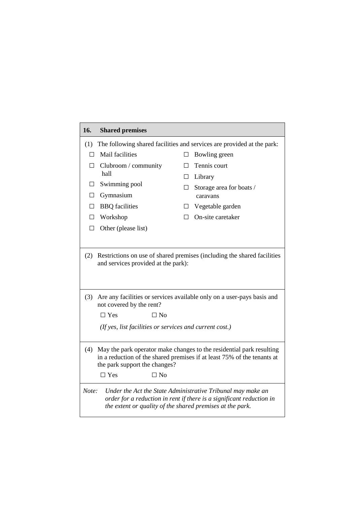| 16.                                                                                                                                                                                                                                | <b>Shared premises</b>  |        |                          |  |  |  |
|------------------------------------------------------------------------------------------------------------------------------------------------------------------------------------------------------------------------------------|-------------------------|--------|--------------------------|--|--|--|
| (1) The following shared facilities and services are provided at the park:                                                                                                                                                         |                         |        |                          |  |  |  |
| $\Box$                                                                                                                                                                                                                             | Mail facilities         | □      | Bowling green            |  |  |  |
| П                                                                                                                                                                                                                                  | Clubroom / community    | П      | Tennis court             |  |  |  |
|                                                                                                                                                                                                                                    | hall                    |        | $\Box$ Library           |  |  |  |
| $\Box$                                                                                                                                                                                                                             | Swimming pool           | $\Box$ | Storage area for boats / |  |  |  |
| $\Box$                                                                                                                                                                                                                             | Gymnasium               |        | caravans                 |  |  |  |
| $\Box$                                                                                                                                                                                                                             | <b>BBQ</b> facilities   |        | $\Box$ Vegetable garden  |  |  |  |
|                                                                                                                                                                                                                                    | $\Box$ Workshop         | П.     | On-site caretaker        |  |  |  |
| $\Box$                                                                                                                                                                                                                             | Other (please list)     |        |                          |  |  |  |
|                                                                                                                                                                                                                                    |                         |        |                          |  |  |  |
| Restrictions on use of shared premises (including the shared facilities<br>(2)<br>and services provided at the park):<br>(3)<br>Are any facilities or services available only on a user-pays basis and<br>not covered by the rent? |                         |        |                          |  |  |  |
|                                                                                                                                                                                                                                    | $\Box$ Yes<br>$\Box$ No |        |                          |  |  |  |
| (If yes, list facilities or services and current cost.)                                                                                                                                                                            |                         |        |                          |  |  |  |
| May the park operator make changes to the residential park resulting<br>(4)<br>in a reduction of the shared premises if at least 75% of the tenants at<br>the park support the changes?<br>$\Box$ No<br>$\Box$ Yes                 |                         |        |                          |  |  |  |
|                                                                                                                                                                                                                                    |                         |        |                          |  |  |  |
| Note:<br>Under the Act the State Administrative Tribunal may make an<br>order for a reduction in rent if there is a significant reduction in<br>the extent or quality of the shared premises at the park.                          |                         |        |                          |  |  |  |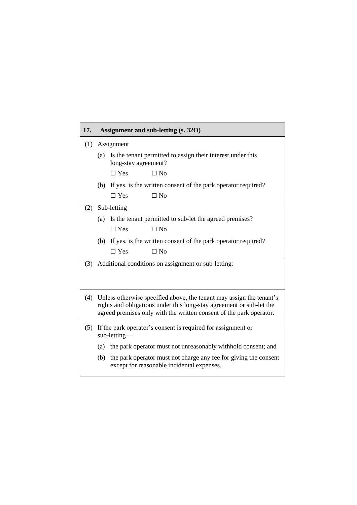| 17. | Assignment and sub-letting (s. 320)                                                                                                                                                                                 |                                                                                                                |  |  |
|-----|---------------------------------------------------------------------------------------------------------------------------------------------------------------------------------------------------------------------|----------------------------------------------------------------------------------------------------------------|--|--|
| (1) | Assignment                                                                                                                                                                                                          |                                                                                                                |  |  |
|     |                                                                                                                                                                                                                     | (a) Is the tenant permitted to assign their interest under this<br>long-stay agreement?                        |  |  |
|     |                                                                                                                                                                                                                     | $\Box$ No<br>$\Box$ Yes                                                                                        |  |  |
|     |                                                                                                                                                                                                                     | (b) If yes, is the written consent of the park operator required?<br>$\Box$ Yes<br>$\Box$ No                   |  |  |
| (2) | Sub-letting                                                                                                                                                                                                         |                                                                                                                |  |  |
|     |                                                                                                                                                                                                                     | (a) Is the tenant permitted to sub-let the agreed premises?<br>$\Box$ No<br>$\Box$ Yes                         |  |  |
|     |                                                                                                                                                                                                                     | (b) If yes, is the written consent of the park operator required?<br>$\Box$ No<br>$\Box$ Yes                   |  |  |
| (3) | Additional conditions on assignment or sub-letting:                                                                                                                                                                 |                                                                                                                |  |  |
| (4) | Unless otherwise specified above, the tenant may assign the tenant's<br>rights and obligations under this long-stay agreement or sub-let the<br>agreed premises only with the written consent of the park operator. |                                                                                                                |  |  |
| (5) | If the park operator's consent is required for assignment or<br>$sub-letting$                                                                                                                                       |                                                                                                                |  |  |
|     |                                                                                                                                                                                                                     | (a) the park operator must not unreasonably withhold consent; and                                              |  |  |
|     | (b)                                                                                                                                                                                                                 | the park operator must not charge any fee for giving the consent<br>except for reasonable incidental expenses. |  |  |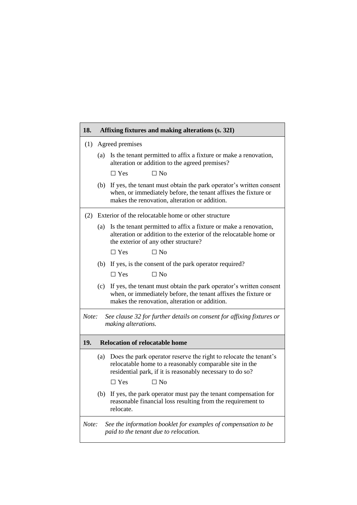| 18.                                                                                                              | Affixing fixtures and making alterations (s. 32I)   |                                                                                                                                                                                           |  |  |
|------------------------------------------------------------------------------------------------------------------|-----------------------------------------------------|-------------------------------------------------------------------------------------------------------------------------------------------------------------------------------------------|--|--|
| (1)                                                                                                              | Agreed premises                                     |                                                                                                                                                                                           |  |  |
|                                                                                                                  | (a)                                                 | Is the tenant permitted to affix a fixture or make a renovation,<br>alteration or addition to the agreed premises?                                                                        |  |  |
|                                                                                                                  |                                                     | $\Box$ No<br>$\Box$ Yes                                                                                                                                                                   |  |  |
|                                                                                                                  |                                                     | (b) If yes, the tenant must obtain the park operator's written consent<br>when, or immediately before, the tenant affixes the fixture or<br>makes the renovation, alteration or addition. |  |  |
| (2)                                                                                                              | Exterior of the relocatable home or other structure |                                                                                                                                                                                           |  |  |
|                                                                                                                  | (a)                                                 | Is the tenant permitted to affix a fixture or make a renovation,<br>alteration or addition to the exterior of the relocatable home or<br>the exterior of any other structure?             |  |  |
|                                                                                                                  |                                                     | $\Box$ Yes<br>$\Box$ No                                                                                                                                                                   |  |  |
|                                                                                                                  |                                                     | (b) If yes, is the consent of the park operator required?                                                                                                                                 |  |  |
|                                                                                                                  |                                                     | $\Box$ Yes<br>$\Box$ No                                                                                                                                                                   |  |  |
|                                                                                                                  |                                                     | (c) If yes, the tenant must obtain the park operator's written consent<br>when, or immediately before, the tenant affixes the fixture or<br>makes the renovation, alteration or addition. |  |  |
| Note:<br>See clause 32 for further details on consent for affixing fixtures or<br>making alterations.            |                                                     |                                                                                                                                                                                           |  |  |
| 19.<br><b>Relocation of relocatable home</b>                                                                     |                                                     |                                                                                                                                                                                           |  |  |
|                                                                                                                  | (a)                                                 | Does the park operator reserve the right to relocate the tenant's<br>relocatable home to a reasonably comparable site in the<br>residential park, if it is reasonably necessary to do so? |  |  |
|                                                                                                                  |                                                     | $\Box$ Yes<br>$\Box$ No                                                                                                                                                                   |  |  |
|                                                                                                                  | (b)                                                 | If yes, the park operator must pay the tenant compensation for<br>reasonable financial loss resulting from the requirement to<br>relocate.                                                |  |  |
| See the information booklet for examples of compensation to be<br>Note:<br>paid to the tenant due to relocation. |                                                     |                                                                                                                                                                                           |  |  |

 $\overline{\phantom{0}}$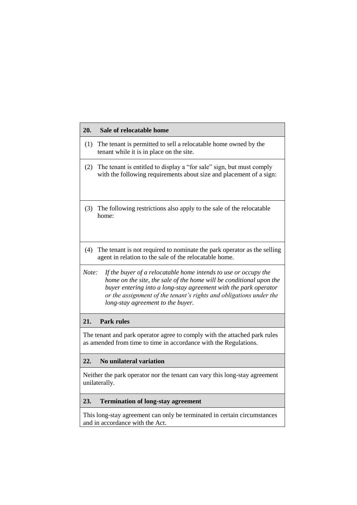| 20.   | Sale of relocatable home                                                                                                                                                                                                                                                                                              |
|-------|-----------------------------------------------------------------------------------------------------------------------------------------------------------------------------------------------------------------------------------------------------------------------------------------------------------------------|
| (1)   | The tenant is permitted to sell a relocatable home owned by the<br>tenant while it is in place on the site.                                                                                                                                                                                                           |
| (2)   | The tenant is entitled to display a "for sale" sign, but must comply<br>with the following requirements about size and placement of a sign:                                                                                                                                                                           |
| (3)   | The following restrictions also apply to the sale of the relocatable<br>home:                                                                                                                                                                                                                                         |
| (4)   | The tenant is not required to nominate the park operator as the selling<br>agent in relation to the sale of the relocatable home.                                                                                                                                                                                     |
| Note: | If the buyer of a relocatable home intends to use or occupy the<br>home on the site, the sale of the home will be conditional upon the<br>buyer entering into a long-stay agreement with the park operator<br>or the assignment of the tenant's rights and obligations under the<br>long-stay agreement to the buyer. |
| 21.   | <b>Park rules</b>                                                                                                                                                                                                                                                                                                     |
|       | The tenant and park operator agree to comply with the attached park rules<br>as amended from time to time in accordance with the Regulations.                                                                                                                                                                         |
| 22.   | No unilateral variation                                                                                                                                                                                                                                                                                               |
|       | Neither the park operator nor the tenant can vary this long-stay agreement<br>unilaterally.                                                                                                                                                                                                                           |
| 23.   | <b>Termination of long-stay agreement</b>                                                                                                                                                                                                                                                                             |
|       | This long-stay agreement can only be terminated in certain circumstances<br>and in accordance with the Act.                                                                                                                                                                                                           |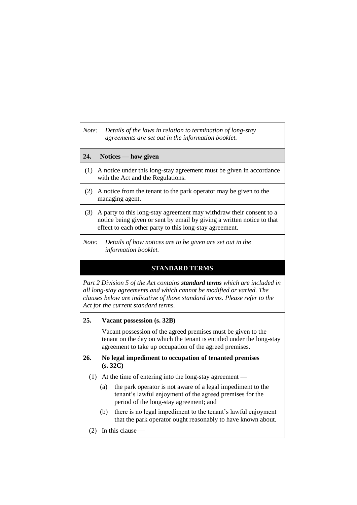*Note: Details of the laws in relation to termination of long-stay agreements are set out in the information booklet.*

## **24. Notices — how given**

- (1) A notice under this long-stay agreement must be given in accordance with the Act and the Regulations.
- (2) A notice from the tenant to the park operator may be given to the managing agent.
- (3) A party to this long-stay agreement may withdraw their consent to a notice being given or sent by email by giving a written notice to that effect to each other party to this long-stay agreement.
- *Note: Details of how notices are to be given are set out in the information booklet.*

## **STANDARD TERMS**

*Part 2 Division 5 of the Act contains standard terms which are included in all long-stay agreements and which cannot be modified or varied. The clauses below are indicative of those standard terms. Please refer to the Act for the current standard terms.*

#### **25. Vacant possession (s. 32B)**

Vacant possession of the agreed premises must be given to the tenant on the day on which the tenant is entitled under the long-stay agreement to take up occupation of the agreed premises.

## **26. No legal impediment to occupation of tenanted premises (s. 32C)**

- (1) At the time of entering into the long-stay agreement
	- (a) the park operator is not aware of a legal impediment to the tenant's lawful enjoyment of the agreed premises for the period of the long-stay agreement; and
	- (b) there is no legal impediment to the tenant's lawful enjoyment that the park operator ought reasonably to have known about.
- (2) In this clause —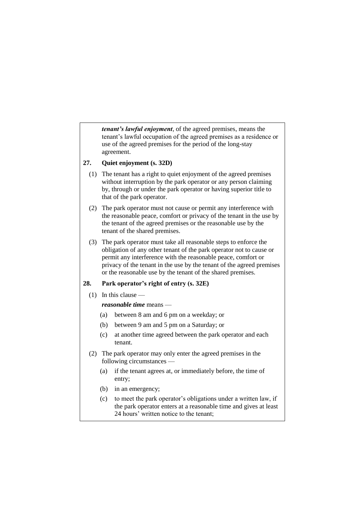*tenant's lawful enjoyment*, of the agreed premises, means the tenant's lawful occupation of the agreed premises as a residence or use of the agreed premises for the period of the long-stay agreement.

## **27. Quiet enjoyment (s. 32D)**

- (1) The tenant has a right to quiet enjoyment of the agreed premises without interruption by the park operator or any person claiming by, through or under the park operator or having superior title to that of the park operator.
- (2) The park operator must not cause or permit any interference with the reasonable peace, comfort or privacy of the tenant in the use by the tenant of the agreed premises or the reasonable use by the tenant of the shared premises.
- (3) The park operator must take all reasonable steps to enforce the obligation of any other tenant of the park operator not to cause or permit any interference with the reasonable peace, comfort or privacy of the tenant in the use by the tenant of the agreed premises or the reasonable use by the tenant of the shared premises.

## **28. Park operator's right of entry (s. 32E)**

(1) In this clause —

## *reasonable time* means —

- (a) between 8 am and 6 pm on a weekday; or
- (b) between 9 am and 5 pm on a Saturday; or
- (c) at another time agreed between the park operator and each tenant.
- (2) The park operator may only enter the agreed premises in the following circumstances —
	- (a) if the tenant agrees at, or immediately before, the time of entry;
	- (b) in an emergency;
	- (c) to meet the park operator's obligations under a written law, if the park operator enters at a reasonable time and gives at least 24 hours' written notice to the tenant;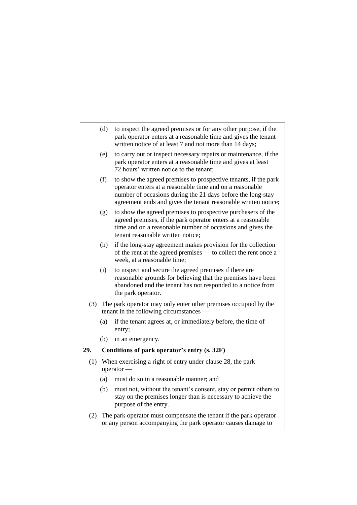- (d) to inspect the agreed premises or for any other purpose, if the park operator enters at a reasonable time and gives the tenant written notice of at least 7 and not more than 14 days;
- (e) to carry out or inspect necessary repairs or maintenance, if the park operator enters at a reasonable time and gives at least 72 hours' written notice to the tenant;
- (f) to show the agreed premises to prospective tenants, if the park operator enters at a reasonable time and on a reasonable number of occasions during the 21 days before the long-stay agreement ends and gives the tenant reasonable written notice;
- (g) to show the agreed premises to prospective purchasers of the agreed premises, if the park operator enters at a reasonable time and on a reasonable number of occasions and gives the tenant reasonable written notice;
- (h) if the long-stay agreement makes provision for the collection of the rent at the agreed premises — to collect the rent once a week, at a reasonable time;
- (i) to inspect and secure the agreed premises if there are reasonable grounds for believing that the premises have been abandoned and the tenant has not responded to a notice from the park operator.
- (3) The park operator may only enter other premises occupied by the tenant in the following circumstances —
	- (a) if the tenant agrees at, or immediately before, the time of entry;
	- (b) in an emergency.

## **29. Conditions of park operator's entry (s. 32F)**

- (1) When exercising a right of entry under clause 28, the park operator —
	- (a) must do so in a reasonable manner; and
	- (b) must not, without the tenant's consent, stay or permit others to stay on the premises longer than is necessary to achieve the purpose of the entry.
- (2) The park operator must compensate the tenant if the park operator or any person accompanying the park operator causes damage to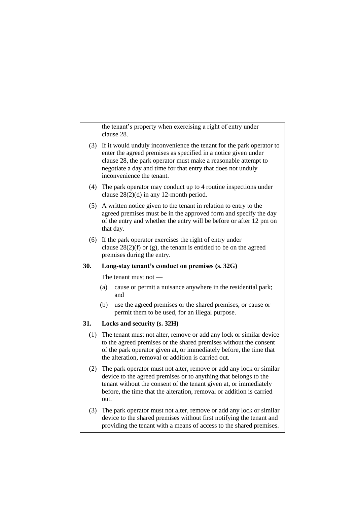the tenant's property when exercising a right of entry under clause 28.

- (3) If it would unduly inconvenience the tenant for the park operator to enter the agreed premises as specified in a notice given under clause 28, the park operator must make a reasonable attempt to negotiate a day and time for that entry that does not unduly inconvenience the tenant.
- (4) The park operator may conduct up to 4 routine inspections under clause 28(2)(d) in any 12-month period.
- (5) A written notice given to the tenant in relation to entry to the agreed premises must be in the approved form and specify the day of the entry and whether the entry will be before or after 12 pm on that day.
- (6) If the park operator exercises the right of entry under clause  $28(2)(f)$  or (g), the tenant is entitled to be on the agreed premises during the entry.

## **30. Long-stay tenant's conduct on premises (s. 32G)**

The tenant must not —

- (a) cause or permit a nuisance anywhere in the residential park; and
- (b) use the agreed premises or the shared premises, or cause or permit them to be used, for an illegal purpose.

#### **31. Locks and security (s. 32H)**

- (1) The tenant must not alter, remove or add any lock or similar device to the agreed premises or the shared premises without the consent of the park operator given at, or immediately before, the time that the alteration, removal or addition is carried out.
- (2) The park operator must not alter, remove or add any lock or similar device to the agreed premises or to anything that belongs to the tenant without the consent of the tenant given at, or immediately before, the time that the alteration, removal or addition is carried out.
- (3) The park operator must not alter, remove or add any lock or similar device to the shared premises without first notifying the tenant and providing the tenant with a means of access to the shared premises.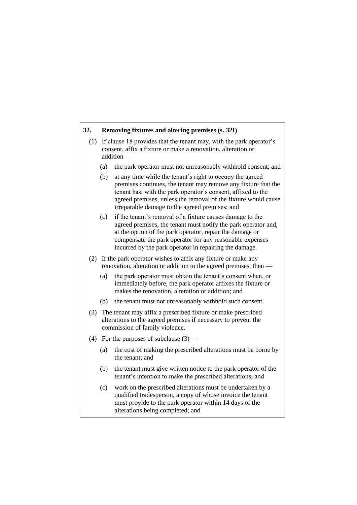## **32. Removing fixtures and altering premises (s. 32I)**

- (1) If clause 18 provides that the tenant may, with the park operator's consent, affix a fixture or make a renovation, alteration or addition —
	- (a) the park operator must not unreasonably withhold consent; and
	- (b) at any time while the tenant's right to occupy the agreed premises continues, the tenant may remove any fixture that the tenant has, with the park operator's consent, affixed to the agreed premises, unless the removal of the fixture would cause irreparable damage to the agreed premises; and
	- (c) if the tenant's removal of a fixture causes damage to the agreed premises, the tenant must notify the park operator and, at the option of the park operator, repair the damage or compensate the park operator for any reasonable expenses incurred by the park operator in repairing the damage.
- (2) If the park operator wishes to affix any fixture or make any renovation, alteration or addition to the agreed premises, then —
	- (a) the park operator must obtain the tenant's consent when, or immediately before, the park operator affixes the fixture or makes the renovation, alteration or addition; and
	- (b) the tenant must not unreasonably withhold such consent.
- (3) The tenant may affix a prescribed fixture or make prescribed alterations to the agreed premises if necessary to prevent the commission of family violence.
- (4) For the purposes of subclause  $(3)$ 
	- (a) the cost of making the prescribed alterations must be borne by the tenant; and
	- (b) the tenant must give written notice to the park operator of the tenant's intention to make the prescribed alterations; and
	- (c) work on the prescribed alterations must be undertaken by a qualified tradesperson, a copy of whose invoice the tenant must provide to the park operator within 14 days of the alterations being completed; and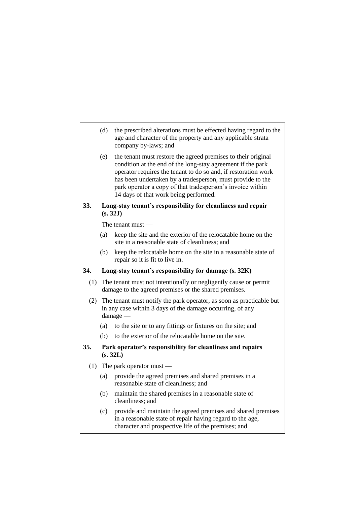- (d) the prescribed alterations must be effected having regard to the age and character of the property and any applicable strata company by-laws; and
- (e) the tenant must restore the agreed premises to their original condition at the end of the long-stay agreement if the park operator requires the tenant to do so and, if restoration work has been undertaken by a tradesperson, must provide to the park operator a copy of that tradesperson's invoice within 14 days of that work being performed.

## **33. Long-stay tenant's responsibility for cleanliness and repair (s. 32J)**

The tenant must —

- (a) keep the site and the exterior of the relocatable home on the site in a reasonable state of cleanliness; and
- (b) keep the relocatable home on the site in a reasonable state of repair so it is fit to live in.

## **34. Long-stay tenant's responsibility for damage (s. 32K)**

- (1) The tenant must not intentionally or negligently cause or permit damage to the agreed premises or the shared premises.
- (2) The tenant must notify the park operator, as soon as practicable but in any case within 3 days of the damage occurring, of any damage —
	- (a) to the site or to any fittings or fixtures on the site; and
	- (b) to the exterior of the relocatable home on the site.

## **35. Park operator's responsibility for cleanliness and repairs (s. 32L)**

- (1) The park operator must
	- (a) provide the agreed premises and shared premises in a reasonable state of cleanliness; and
	- (b) maintain the shared premises in a reasonable state of cleanliness; and
	- (c) provide and maintain the agreed premises and shared premises in a reasonable state of repair having regard to the age, character and prospective life of the premises; and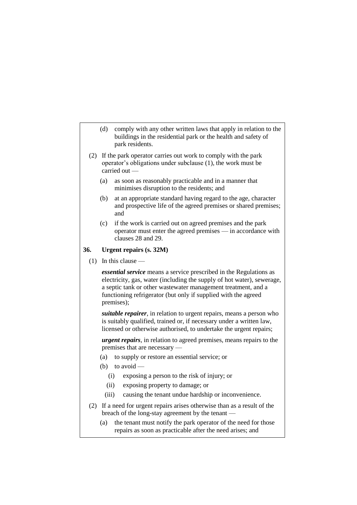- (d) comply with any other written laws that apply in relation to the buildings in the residential park or the health and safety of park residents.
- (2) If the park operator carries out work to comply with the park operator's obligations under subclause (1), the work must be carried out —
	- (a) as soon as reasonably practicable and in a manner that minimises disruption to the residents; and
	- (b) at an appropriate standard having regard to the age, character and prospective life of the agreed premises or shared premises; and
	- (c) if the work is carried out on agreed premises and the park operator must enter the agreed premises — in accordance with clauses 28 and 29.

### **36. Urgent repairs (s. 32M)**

(1) In this clause —

*essential service* means a service prescribed in the Regulations as electricity, gas, water (including the supply of hot water), sewerage, a septic tank or other wastewater management treatment, and a functioning refrigerator (but only if supplied with the agreed premises);

*suitable repairer*, in relation to urgent repairs, means a person who is suitably qualified, trained or, if necessary under a written law, licensed or otherwise authorised, to undertake the urgent repairs;

*urgent repairs*, in relation to agreed premises, means repairs to the premises that are necessary —

- (a) to supply or restore an essential service; or
- (b) to avoid  $-$ 
	- (i) exposing a person to the risk of injury; or
	- (ii) exposing property to damage; or
	- (iii) causing the tenant undue hardship or inconvenience.
- (2) If a need for urgent repairs arises otherwise than as a result of the breach of the long-stay agreement by the tenant —
	- (a) the tenant must notify the park operator of the need for those repairs as soon as practicable after the need arises; and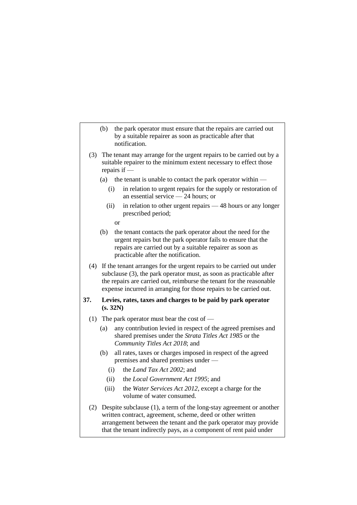- (b) the park operator must ensure that the repairs are carried out by a suitable repairer as soon as practicable after that notification.
- (3) The tenant may arrange for the urgent repairs to be carried out by a suitable repairer to the minimum extent necessary to effect those repairs if —
	- (a) the tenant is unable to contact the park operator within  $-$ 
		- (i) in relation to urgent repairs for the supply or restoration of an essential service — 24 hours; or
		- (ii) in relation to other urgent repairs 48 hours or any longer prescribed period;
			- or
	- (b) the tenant contacts the park operator about the need for the urgent repairs but the park operator fails to ensure that the repairs are carried out by a suitable repairer as soon as practicable after the notification.
- (4) If the tenant arranges for the urgent repairs to be carried out under subclause (3), the park operator must, as soon as practicable after the repairs are carried out, reimburse the tenant for the reasonable expense incurred in arranging for those repairs to be carried out.

## **37. Levies, rates, taxes and charges to be paid by park operator (s. 32N)**

- (1) The park operator must bear the cost of
	- (a) any contribution levied in respect of the agreed premises and shared premises under the *Strata Titles Act 1985* or the *Community Titles Act 2018*; and
	- (b) all rates, taxes or charges imposed in respect of the agreed premises and shared premises under —
		- (i) the *Land Tax Act 2002*; and
		- (ii) the *Local Government Act 1995*; and
		- (iii) the *Water Services Act 2012*, except a charge for the volume of water consumed.
- (2) Despite subclause (1), a term of the long-stay agreement or another written contract, agreement, scheme, deed or other written arrangement between the tenant and the park operator may provide that the tenant indirectly pays, as a component of rent paid under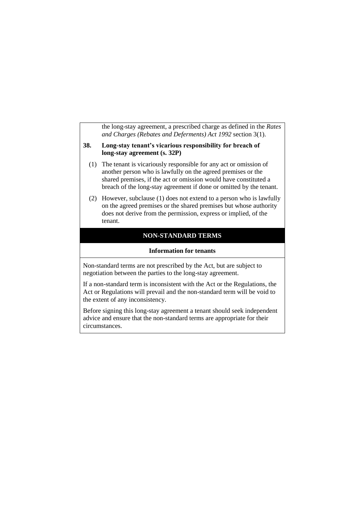the long-stay agreement, a prescribed charge as defined in the *Rates and Charges (Rebates and Deferments) Act 1992* section 3(1).

## **38. Long-stay tenant's vicarious responsibility for breach of long-stay agreement (s. 32P)**

- (1) The tenant is vicariously responsible for any act or omission of another person who is lawfully on the agreed premises or the shared premises, if the act or omission would have constituted a breach of the long-stay agreement if done or omitted by the tenant.
- (2) However, subclause (1) does not extend to a person who is lawfully on the agreed premises or the shared premises but whose authority does not derive from the permission, express or implied, of the tenant.

## **NON-STANDARD TERMS**

#### **Information for tenants**

Non-standard terms are not prescribed by the Act, but are subject to negotiation between the parties to the long-stay agreement.

If a non-standard term is inconsistent with the Act or the Regulations, the Act or Regulations will prevail and the non-standard term will be void to the extent of any inconsistency.

Before signing this long-stay agreement a tenant should seek independent advice and ensure that the non-standard terms are appropriate for their circumstances.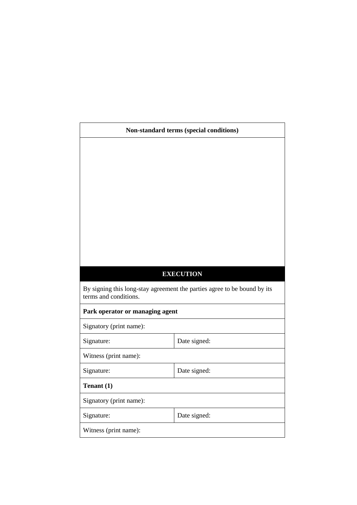| Non-standard terms (special conditions) |                                                                          |  |  |  |
|-----------------------------------------|--------------------------------------------------------------------------|--|--|--|
|                                         |                                                                          |  |  |  |
|                                         |                                                                          |  |  |  |
|                                         |                                                                          |  |  |  |
|                                         |                                                                          |  |  |  |
|                                         |                                                                          |  |  |  |
|                                         |                                                                          |  |  |  |
|                                         |                                                                          |  |  |  |
|                                         |                                                                          |  |  |  |
|                                         |                                                                          |  |  |  |
|                                         |                                                                          |  |  |  |
|                                         | <b>EXECUTION</b>                                                         |  |  |  |
| terms and conditions.                   | By signing this long-stay agreement the parties agree to be bound by its |  |  |  |
| Park operator or managing agent         |                                                                          |  |  |  |
| Signatory (print name):                 |                                                                          |  |  |  |
| Signature:                              | Date signed:                                                             |  |  |  |
| Witness (print name):                   |                                                                          |  |  |  |
| Signature:                              | Date signed:                                                             |  |  |  |
| Tenant (1)                              |                                                                          |  |  |  |
| Signatory (print name):                 |                                                                          |  |  |  |
| Signature:                              | Date signed:                                                             |  |  |  |
| Witness (print name):                   |                                                                          |  |  |  |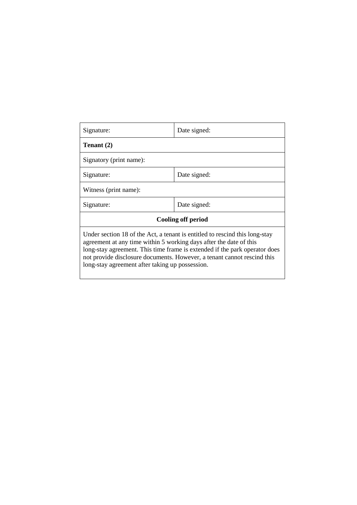| Signature:                                                                                                                                                                                                                                                                                                                                                    | Date signed: |  |  |
|---------------------------------------------------------------------------------------------------------------------------------------------------------------------------------------------------------------------------------------------------------------------------------------------------------------------------------------------------------------|--------------|--|--|
| Tenant (2)                                                                                                                                                                                                                                                                                                                                                    |              |  |  |
| Signatory (print name):                                                                                                                                                                                                                                                                                                                                       |              |  |  |
| Signature:                                                                                                                                                                                                                                                                                                                                                    | Date signed: |  |  |
| Witness (print name):                                                                                                                                                                                                                                                                                                                                         |              |  |  |
| Signature:                                                                                                                                                                                                                                                                                                                                                    | Date signed: |  |  |
| <b>Cooling off period</b>                                                                                                                                                                                                                                                                                                                                     |              |  |  |
| Under section 18 of the Act, a tenant is entitled to rescind this long-stay<br>agreement at any time within 5 working days after the date of this<br>long-stay agreement. This time frame is extended if the park operator does<br>not provide disclosure documents. However, a tenant cannot rescind this<br>long-stay agreement after taking up possession. |              |  |  |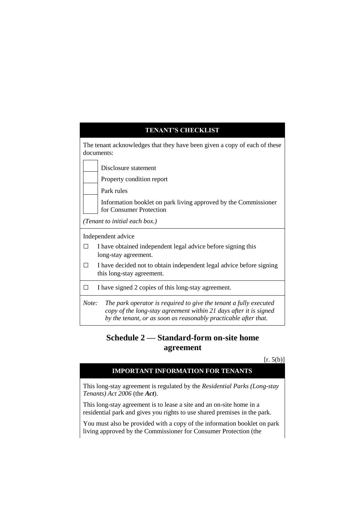| <b>TENANT'S CHECKLIST</b>                                                                                                                                                                                          |  |  |  |  |
|--------------------------------------------------------------------------------------------------------------------------------------------------------------------------------------------------------------------|--|--|--|--|
| The tenant acknowledges that they have been given a copy of each of these<br>documents:                                                                                                                            |  |  |  |  |
| Disclosure statement                                                                                                                                                                                               |  |  |  |  |
| Property condition report                                                                                                                                                                                          |  |  |  |  |
| Park rules                                                                                                                                                                                                         |  |  |  |  |
| Information booklet on park living approved by the Commissioner<br>for Consumer Protection                                                                                                                         |  |  |  |  |
| (Tenant to initial each box.)                                                                                                                                                                                      |  |  |  |  |
| Independent advice                                                                                                                                                                                                 |  |  |  |  |
| I have obtained independent legal advice before signing this<br>$\overline{\phantom{a}}$<br>long-stay agreement.                                                                                                   |  |  |  |  |
| I have decided not to obtain independent legal advice before signing<br>$\Box$<br>this long-stay agreement.                                                                                                        |  |  |  |  |
| I have signed 2 copies of this long-stay agreement.<br>П                                                                                                                                                           |  |  |  |  |
| Note:<br>The park operator is required to give the tenant a fully executed<br>copy of the long-stay agreement within 21 days after it is signed<br>by the tenant, or as soon as reasonably practicable after that. |  |  |  |  |

# **Schedule 2 — Standard-form on-site home agreement**

## $[r. 5(b)]$

## **IMPORTANT INFORMATION FOR TENANTS**

This long-stay agreement is regulated by the *Residential Parks (Long-stay Tenants) Act 2006* (the *Act*).

This long-stay agreement is to lease a site and an on-site home in a residential park and gives you rights to use shared premises in the park.

You must also be provided with a copy of the information booklet on park living approved by the Commissioner for Consumer Protection (the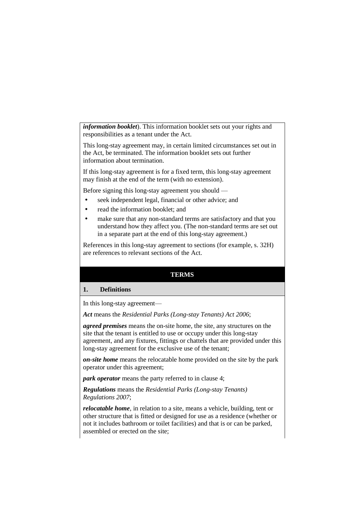*information booklet*). This information booklet sets out your rights and responsibilities as a tenant under the Act.

This long-stay agreement may, in certain limited circumstances set out in the Act, be terminated. The information booklet sets out further information about termination.

If this long-stay agreement is for a fixed term, this long-stay agreement may finish at the end of the term (with no extension).

Before signing this long-stay agreement you should —

- seek independent legal, financial or other advice; and
- read the information booklet; and
- make sure that any non-standard terms are satisfactory and that you understand how they affect you. (The non-standard terms are set out in a separate part at the end of this long-stay agreement.)

References in this long-stay agreement to sections (for example, s. 32H) are references to relevant sections of the Act.

## **TERMS**

#### **1. Definitions**

In this long-stay agreement—

*Act* means the *Residential Parks (Long-stay Tenants) Act 2006*;

*agreed premises* means the on-site home, the site, any structures on the site that the tenant is entitled to use or occupy under this long-stay agreement, and any fixtures, fittings or chattels that are provided under this long-stay agreement for the exclusive use of the tenant;

*on-site home* means the relocatable home provided on the site by the park operator under this agreement;

*park operator* means the party referred to in clause 4;

*Regulations* means the *Residential Parks (Long-stay Tenants) Regulations 2007*;

*relocatable home*, in relation to a site, means a vehicle, building, tent or other structure that is fitted or designed for use as a residence (whether or not it includes bathroom or toilet facilities) and that is or can be parked, assembled or erected on the site;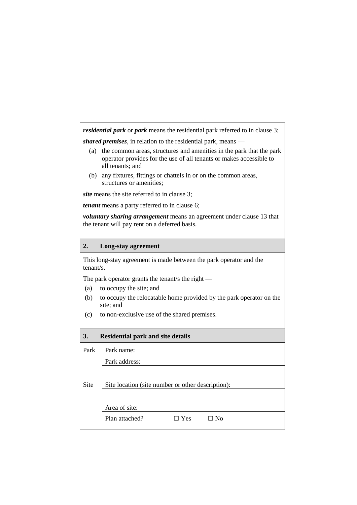*residential park* or *park* means the residential park referred to in clause 3;

*shared premises*, in relation to the residential park, means —

- (a) the common areas, structures and amenities in the park that the park operator provides for the use of all tenants or makes accessible to all tenants; and
- (b) any fixtures, fittings or chattels in or on the common areas, structures or amenities;

*site* means the site referred to in clause 3;

*tenant* means a party referred to in clause 6;

*voluntary sharing arrangement* means an agreement under clause 13 that the tenant will pay rent on a deferred basis.

## **2. Long-stay agreement**

This long-stay agreement is made between the park operator and the tenant/s.

The park operator grants the tenant/s the right —

- (a) to occupy the site; and
- (b) to occupy the relocatable home provided by the park operator on the site; and
- (c) to non-exclusive use of the shared premises.

| 3.<br><b>Residential park and site details</b> |                                                   |  |  |  |  |
|------------------------------------------------|---------------------------------------------------|--|--|--|--|
| Park                                           | Park name:                                        |  |  |  |  |
|                                                | Park address:                                     |  |  |  |  |
|                                                |                                                   |  |  |  |  |
| <b>Site</b>                                    | Site location (site number or other description): |  |  |  |  |
|                                                |                                                   |  |  |  |  |
|                                                | Area of site:                                     |  |  |  |  |
|                                                | Plan attached?<br>Yes<br>⊟ No                     |  |  |  |  |
|                                                |                                                   |  |  |  |  |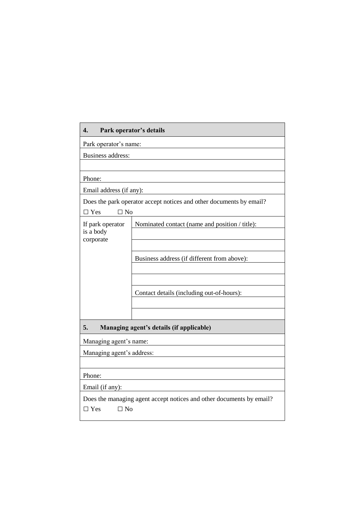| Park operator's details<br>4.                                                                  |                                                |  |  |  |
|------------------------------------------------------------------------------------------------|------------------------------------------------|--|--|--|
| Park operator's name:                                                                          |                                                |  |  |  |
| <b>Business address:</b>                                                                       |                                                |  |  |  |
|                                                                                                |                                                |  |  |  |
| Phone:                                                                                         |                                                |  |  |  |
| Email address (if any):                                                                        |                                                |  |  |  |
| Does the park operator accept notices and other documents by email?<br>$\Box$ No<br>$\Box$ Yes |                                                |  |  |  |
| If park operator                                                                               | Nominated contact (name and position / title): |  |  |  |
| is a body<br>corporate                                                                         |                                                |  |  |  |
|                                                                                                |                                                |  |  |  |
|                                                                                                | Business address (if different from above):    |  |  |  |
|                                                                                                |                                                |  |  |  |
|                                                                                                |                                                |  |  |  |
|                                                                                                | Contact details (including out-of-hours):      |  |  |  |
|                                                                                                |                                                |  |  |  |
|                                                                                                |                                                |  |  |  |
| 5.<br>Managing agent's details (if applicable)                                                 |                                                |  |  |  |
| Managing agent's name:                                                                         |                                                |  |  |  |
| Managing agent's address:                                                                      |                                                |  |  |  |
|                                                                                                |                                                |  |  |  |
| Phone:                                                                                         |                                                |  |  |  |
| Email (if any):                                                                                |                                                |  |  |  |
| Does the managing agent accept notices and other documents by email?                           |                                                |  |  |  |
| $\Box$ No<br>$\Box$ Yes                                                                        |                                                |  |  |  |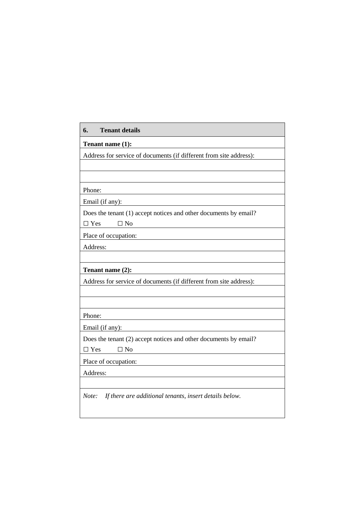| Tenant name (1):                                                   |  |
|--------------------------------------------------------------------|--|
| Address for service of documents (if different from site address): |  |
|                                                                    |  |
|                                                                    |  |
| Phone:                                                             |  |
| Email (if any):                                                    |  |
| Does the tenant (1) accept notices and other documents by email?   |  |
| $\Box$ No<br>$\Box$ Yes                                            |  |
| Place of occupation:                                               |  |
| Address:                                                           |  |
|                                                                    |  |
| Tenant name (2):                                                   |  |
| Address for service of documents (if different from site address): |  |
|                                                                    |  |
|                                                                    |  |
| Phone:                                                             |  |
| Email (if any):                                                    |  |
| Does the tenant (2) accept notices and other documents by email?   |  |
| $\square$ No<br>$\Box$ Yes                                         |  |
| Place of occupation:                                               |  |
| Address:                                                           |  |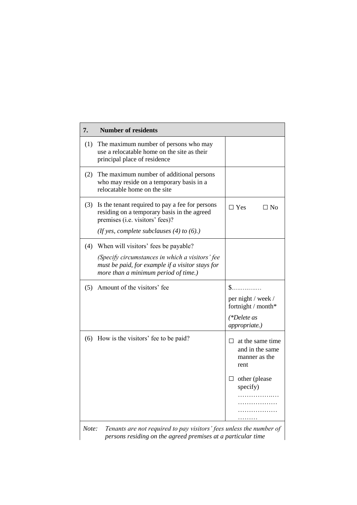| 7.  | <b>Number of residents</b>                                                                                                                                                          |                                                                                                        |
|-----|-------------------------------------------------------------------------------------------------------------------------------------------------------------------------------------|--------------------------------------------------------------------------------------------------------|
| (1) | The maximum number of persons who may<br>use a relocatable home on the site as their<br>principal place of residence                                                                |                                                                                                        |
| (2) | The maximum number of additional persons<br>who may reside on a temporary basis in a<br>relocatable home on the site                                                                |                                                                                                        |
| (3) | Is the tenant required to pay a fee for persons<br>residing on a temporary basis in the agreed<br>premises (i.e. visitors' fees)?<br>(If yes, complete subclauses $(4)$ to $(6)$ .) | $\Box$ Yes<br>$\square$ No                                                                             |
| (4) | When will visitors' fees be payable?<br>(Specify circumstances in which a visitors' fee<br>must be paid, for example if a visitor stays for                                         |                                                                                                        |
|     | more than a minimum period of time.)                                                                                                                                                |                                                                                                        |
| (5) | Amount of the visitors' fee                                                                                                                                                         | S.<br>per night / week /<br>fortnight / month*<br>(*Delete as<br>appropriate.)                         |
| (6) | How is the visitors' fee to be paid?                                                                                                                                                | at the same time<br>П.<br>and in the same<br>manner as the<br>rent<br>$\Box$ other (please<br>specify) |
|     | Topauts are not required to pay visitors' fees unless the number of                                                                                                                 |                                                                                                        |

*Note: Tenants are not required to pay visitors' fees unless the number of persons residing on the agreed premises at a particular time*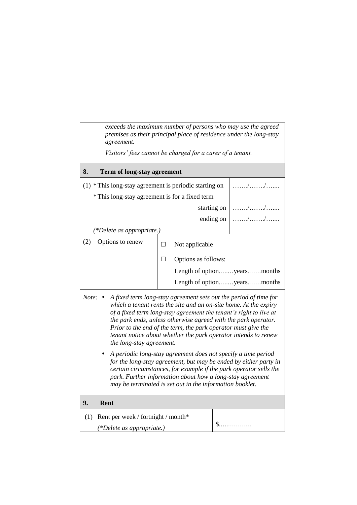| exceeds the maximum number of persons who may use the agreed<br>premises as their principal place of residence under the long-stay<br>agreement.                                                                                                                                                                                                                                                                                                              |                                                           |                             |  |  |
|---------------------------------------------------------------------------------------------------------------------------------------------------------------------------------------------------------------------------------------------------------------------------------------------------------------------------------------------------------------------------------------------------------------------------------------------------------------|-----------------------------------------------------------|-----------------------------|--|--|
|                                                                                                                                                                                                                                                                                                                                                                                                                                                               | Visitors' fees cannot be charged for a carer of a tenant. |                             |  |  |
| 8.<br>Term of long-stay agreement                                                                                                                                                                                                                                                                                                                                                                                                                             |                                                           |                             |  |  |
| (1) * This long-stay agreement is periodic starting on                                                                                                                                                                                                                                                                                                                                                                                                        |                                                           |                             |  |  |
| * This long-stay agreement is for a fixed term                                                                                                                                                                                                                                                                                                                                                                                                                |                                                           |                             |  |  |
|                                                                                                                                                                                                                                                                                                                                                                                                                                                               | starting on                                               |                             |  |  |
|                                                                                                                                                                                                                                                                                                                                                                                                                                                               | ending on                                                 |                             |  |  |
| (*Delete as appropriate.)                                                                                                                                                                                                                                                                                                                                                                                                                                     |                                                           |                             |  |  |
| (2)<br>Options to renew                                                                                                                                                                                                                                                                                                                                                                                                                                       | Not applicable<br>$\Box$                                  |                             |  |  |
|                                                                                                                                                                                                                                                                                                                                                                                                                                                               | Options as follows:<br>$\Box$                             |                             |  |  |
|                                                                                                                                                                                                                                                                                                                                                                                                                                                               |                                                           | Length of optionyearsmonths |  |  |
|                                                                                                                                                                                                                                                                                                                                                                                                                                                               | Length of optionyearsmonths                               |                             |  |  |
| Note: $\bullet$<br>A fixed term long-stay agreement sets out the period of time for<br>which a tenant rents the site and an on-site home. At the expiry<br>of a fixed term long-stay agreement the tenant's right to live at<br>the park ends, unless otherwise agreed with the park operator.<br>Prior to the end of the term, the park operator must give the<br>tenant notice about whether the park operator intends to renew<br>the long-stay agreement. |                                                           |                             |  |  |
| A periodic long-stay agreement does not specify a time period<br>for the long-stay agreement, but may be ended by either party in<br>certain circumstances, for example if the park operator sells the<br>park. Further information about how a long-stay agreement<br>may be terminated is set out in the information booklet.                                                                                                                               |                                                           |                             |  |  |
| 9.<br>Rent                                                                                                                                                                                                                                                                                                                                                                                                                                                    |                                                           |                             |  |  |
| Rent per week / fortnight / month*<br>(1)                                                                                                                                                                                                                                                                                                                                                                                                                     |                                                           |                             |  |  |
| (*Delete as appropriate.)                                                                                                                                                                                                                                                                                                                                                                                                                                     |                                                           | $\mathbb{S}$ .              |  |  |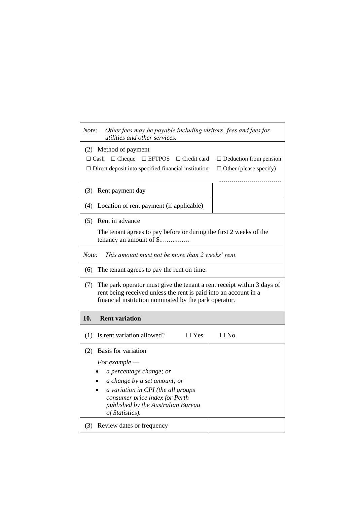| Note: | Other fees may be payable including visitors' fees and fees for<br>utilities and other services.                                                                                                    |                                                                    |  |
|-------|-----------------------------------------------------------------------------------------------------------------------------------------------------------------------------------------------------|--------------------------------------------------------------------|--|
|       | (2) Method of payment<br>$\Box$ Cheque<br>$\square$ EFTPOS $\square$ Credit card<br>$\Box$ Cash<br>$\Box$ Direct deposit into specified financial institution                                       | $\Box$ Deduction from pension<br>$\Box$ Other (please specify)<br> |  |
| (3)   | Rent payment day                                                                                                                                                                                    |                                                                    |  |
|       | (4) Location of rent payment (if applicable)                                                                                                                                                        |                                                                    |  |
| (5)   | Rent in advance                                                                                                                                                                                     |                                                                    |  |
|       | The tenant agrees to pay before or during the first 2 weeks of the<br>tenancy an amount of \$                                                                                                       |                                                                    |  |
| Note: | This amount must not be more than 2 weeks' rent.                                                                                                                                                    |                                                                    |  |
| (6)   | The tenant agrees to pay the rent on time.                                                                                                                                                          |                                                                    |  |
| (7)   | The park operator must give the tenant a rent receipt within 3 days of<br>rent being received unless the rent is paid into an account in a<br>financial institution nominated by the park operator. |                                                                    |  |
| 10.   | <b>Rent variation</b>                                                                                                                                                                               |                                                                    |  |
| (1)   | Is rent variation allowed?<br>$\Box$ Yes                                                                                                                                                            | $\Box$ No                                                          |  |
|       | (2) Basis for variation                                                                                                                                                                             |                                                                    |  |
|       | For example $-$                                                                                                                                                                                     |                                                                    |  |
|       | a percentage change; or<br>a change by a set amount; or                                                                                                                                             |                                                                    |  |
|       | a variation in CPI (the all groups                                                                                                                                                                  |                                                                    |  |
|       |                                                                                                                                                                                                     |                                                                    |  |
|       | consumer price index for Perth<br>published by the Australian Bureau<br>of Statistics).                                                                                                             |                                                                    |  |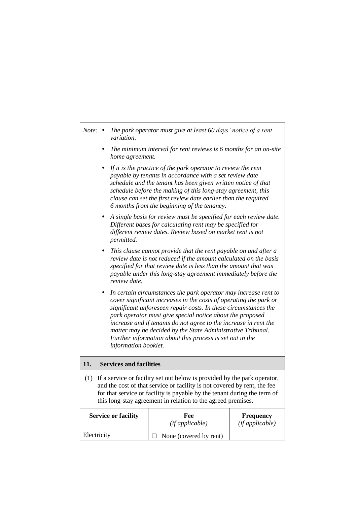| Note:       | The park operator must give at least 60 days' notice of a rent<br>$\bullet$<br>variation.                                                                                                                                                                                                                                                                                                                                                                                                        |                        |                              |  |  |  |  |
|-------------|--------------------------------------------------------------------------------------------------------------------------------------------------------------------------------------------------------------------------------------------------------------------------------------------------------------------------------------------------------------------------------------------------------------------------------------------------------------------------------------------------|------------------------|------------------------------|--|--|--|--|
|             | The minimum interval for rent reviews is $6$ months for an on-site<br>$\bullet$<br>home agreement.                                                                                                                                                                                                                                                                                                                                                                                               |                        |                              |  |  |  |  |
|             | If it is the practice of the park operator to review the rent<br>$\bullet$<br>payable by tenants in accordance with a set review date<br>schedule and the tenant has been given written notice of that<br>schedule before the making of this long-stay agreement, this<br>clause can set the first review date earlier than the required<br>6 months from the beginning of the tenancy.                                                                                                          |                        |                              |  |  |  |  |
|             | A single basis for review must be specified for each review date.<br>٠<br>Different bases for calculating rent may be specified for<br>different review dates. Review based on market rent is not<br>permitted.                                                                                                                                                                                                                                                                                  |                        |                              |  |  |  |  |
|             | This clause cannot provide that the rent payable on and after a<br>٠<br>review date is not reduced if the amount calculated on the basis<br>specified for that review date is less than the amount that was<br>payable under this long-stay agreement immediately before the<br>review date.                                                                                                                                                                                                     |                        |                              |  |  |  |  |
|             | In certain circumstances the park operator may increase rent to<br>٠<br>cover significant increases in the costs of operating the park or<br>significant unforeseen repair costs. In these circumstances the<br>park operator must give special notice about the proposed<br>increase and if tenants do not agree to the increase in rent the<br>matter may be decided by the State Administrative Tribunal.<br>Further information about this process is set out in the<br>information booklet. |                        |                              |  |  |  |  |
| 11.         | <b>Services and facilities</b>                                                                                                                                                                                                                                                                                                                                                                                                                                                                   |                        |                              |  |  |  |  |
| (1)         | If a service or facility set out below is provided by the park operator,<br>and the cost of that service or facility is not covered by rent, the fee<br>for that service or facility is payable by the tenant during the term of<br>this long-stay agreement in relation to the agreed premises.                                                                                                                                                                                                 |                        |                              |  |  |  |  |
|             | <b>Service or facility</b>                                                                                                                                                                                                                                                                                                                                                                                                                                                                       | Fee<br>(if applicable) | Frequency<br>(if applicable) |  |  |  |  |
| Electricity |                                                                                                                                                                                                                                                                                                                                                                                                                                                                                                  | None (covered by rent) |                              |  |  |  |  |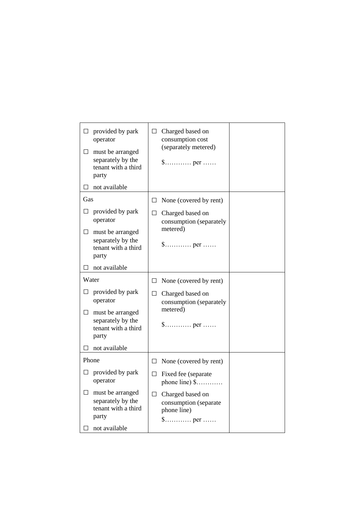| $\Box$<br>$\Box$ | provided by park<br>operator<br>must be arranged<br>separately by the<br>tenant with a third<br>party<br>not available | $\Box$ | Charged based on<br>consumption cost<br>(separately metered)<br>$\$\dots \dots \dots$ per $\dots \dots$           |  |
|------------------|------------------------------------------------------------------------------------------------------------------------|--------|-------------------------------------------------------------------------------------------------------------------|--|
| $\Box$           |                                                                                                                        |        |                                                                                                                   |  |
| Gas              |                                                                                                                        | $\Box$ | None (covered by rent)                                                                                            |  |
| $\Box$           | provided by park<br>operator                                                                                           | $\Box$ | Charged based on<br>consumption (separately                                                                       |  |
|                  | $\Box$ must be arranged<br>separately by the<br>tenant with a third<br>party                                           |        | metered)                                                                                                          |  |
| $\Box$           | not available                                                                                                          |        |                                                                                                                   |  |
| Water            |                                                                                                                        | $\Box$ | None (covered by rent)                                                                                            |  |
| $\Box$           | provided by park<br>operator                                                                                           | $\Box$ | Charged based on<br>consumption (separately<br>metered)                                                           |  |
| $\Box$           | must be arranged<br>separately by the<br>tenant with a third<br>party                                                  |        | \$ per                                                                                                            |  |
| $\mathsf{L}$     | not available                                                                                                          |        |                                                                                                                   |  |
| Phone            |                                                                                                                        | $\Box$ | None (covered by rent)                                                                                            |  |
| ப                | provided by park<br>operator                                                                                           | $\Box$ | Fixed fee (separate<br>phone line) $$$                                                                            |  |
| $\Box$           | must be arranged<br>separately by the<br>tenant with a third<br>party                                                  | $\Box$ | Charged based on<br>consumption (separate<br>phone line)<br>$\mathsf{\$}\dots\dots\dots\dots\text{per}\dots\dots$ |  |
| $\Box$           | not available                                                                                                          |        |                                                                                                                   |  |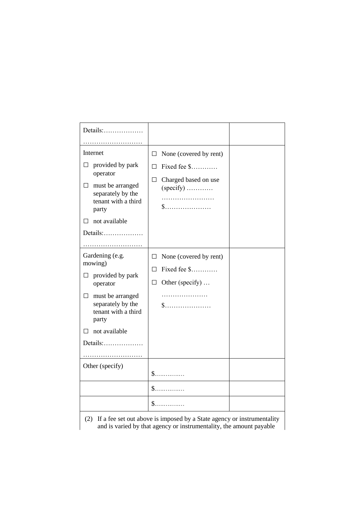| Details:                                                                                                                                                                             |                                                                                                      |
|--------------------------------------------------------------------------------------------------------------------------------------------------------------------------------------|------------------------------------------------------------------------------------------------------|
| .                                                                                                                                                                                    |                                                                                                      |
| Internet                                                                                                                                                                             | None (covered by rent)<br>Ш                                                                          |
| provided by park<br>operator<br>must be arranged<br>$\Box$<br>separately by the<br>tenant with a third<br>party                                                                      | Fixed fee \$<br>$\Box$<br>Charged based on use<br>$\Box$<br>$(specify)$<br>${\S}$                    |
| not available                                                                                                                                                                        |                                                                                                      |
| Details:                                                                                                                                                                             |                                                                                                      |
| Gardening (e.g.<br>mowing)<br>provided by park<br>□<br>operator<br>must be arranged<br>П<br>separately by the<br>tenant with a third<br>party<br>not available<br>$\Box$<br>Details: | None (covered by rent)<br>$\Box$<br>Fixed fee \$<br>П<br>Other (specify)<br>$\Box$<br>.<br>${\sf S}$ |
|                                                                                                                                                                                      |                                                                                                      |
| Other (specify)                                                                                                                                                                      | $\mathbb{S}$<br>\$.                                                                                  |
|                                                                                                                                                                                      | $\mathbb{S}$                                                                                         |
|                                                                                                                                                                                      | $(2)$ If a fee set out above is imposed by a State agapey or instrumentality                         |

(2) If a fee set out above is imposed by a State agency or instrumentality and is varied by that agency or instrumentality, the amount payable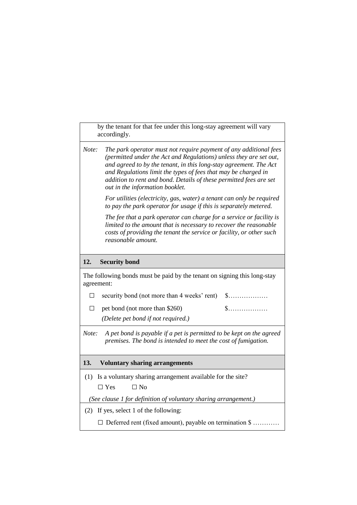by the tenant for that fee under this long-stay agreement will vary accordingly.

| Note: | The park operator must not require payment of any additional fees  |
|-------|--------------------------------------------------------------------|
|       | (permitted under the Act and Regulations) unless they are set out, |
|       | and agreed to by the tenant, in this long-stay agreement. The Act  |
|       | and Regulations limit the types of fees that may be charged in     |
|       | addition to rent and bond. Details of these permitted fees are set |
|       | out in the information booklet.                                    |

*For utilities (electricity, gas, water) a tenant can only be required to pay the park operator for usage if this is separately metered.*

*The fee that a park operator can charge for a service or facility is limited to the amount that is necessary to recover the reasonable costs of providing the tenant the service or facility, or other such reasonable amount.*

## **12. Security bond**

The following bonds must be paid by the tenant on signing this long-stay agreement:

□ security bond (not more than 4 weeks' rent) \$………………

□ pet bond (not more than \$260) \$………………

*(Delete pet bond if not required.)*

*Note: A pet bond is payable if a pet is permitted to be kept on the agreed premises. The bond is intended to meet the cost of fumigation.*

## **13. Voluntary sharing arrangements**

(1) Is a voluntary sharing arrangement available for the site?  $\Box$  Yes  $\Box$  No

*(See clause 1 for definition of voluntary sharing arrangement.)*

(2) If yes, select 1 of the following:

□ Deferred rent (fixed amount), payable on termination \$ …………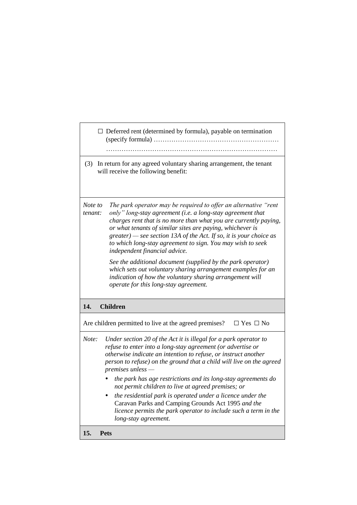|                    | $\Box$ Deferred rent (determined by formula), payable on termination                                                                                                                                                                                                                                                                                                                                                                                                                                  |
|--------------------|-------------------------------------------------------------------------------------------------------------------------------------------------------------------------------------------------------------------------------------------------------------------------------------------------------------------------------------------------------------------------------------------------------------------------------------------------------------------------------------------------------|
| (3)                | In return for any agreed voluntary sharing arrangement, the tenant<br>will receive the following benefit:                                                                                                                                                                                                                                                                                                                                                                                             |
| Note to<br>tenant: | The park operator may be required to offer an alternative "rent<br>only" long-stay agreement (i.e. a long-stay agreement that<br>charges rent that is no more than what you are currently paying,<br>or what tenants of similar sites are paying, whichever is<br>$greater$ ) — see section 13A of the Act. If so, it is your choice as<br>to which long-stay agreement to sign. You may wish to seek<br>independent financial advice.<br>See the additional document (supplied by the park operator) |
|                    | which sets out voluntary sharing arrangement examples for an<br>indication of how the voluntary sharing arrangement will<br>operate for this long-stay agreement.                                                                                                                                                                                                                                                                                                                                     |
| 14.                | <b>Children</b>                                                                                                                                                                                                                                                                                                                                                                                                                                                                                       |
|                    | Are children permitted to live at the agreed premises?<br>$\Box$ Yes $\Box$ No                                                                                                                                                                                                                                                                                                                                                                                                                        |
| Note:              | Under section 20 of the Act it is illegal for a park operator to<br>refuse to enter into a long-stay agreement (or advertise or<br>otherwise indicate an intention to refuse, or instruct another<br>person to refuse) on the ground that a child will live on the agreed<br>$premises$ unless $-$                                                                                                                                                                                                    |
|                    | the park has age restrictions and its long-stay agreements do<br>not permit children to live at agreed premises; or                                                                                                                                                                                                                                                                                                                                                                                   |
|                    | the residential park is operated under a licence under the<br>Caravan Parks and Camping Grounds Act 1995 and the<br>licence permits the park operator to include such a term in the<br>long-stay agreement.                                                                                                                                                                                                                                                                                           |
| 15.                | Pets                                                                                                                                                                                                                                                                                                                                                                                                                                                                                                  |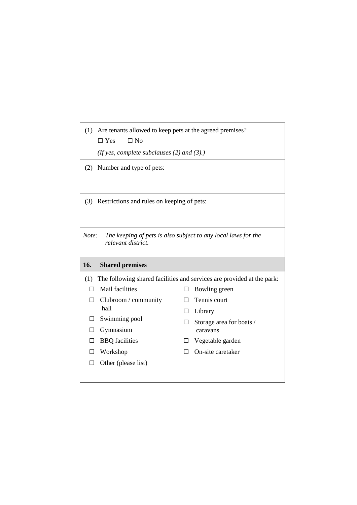| (1)          | Are tenants allowed to keep pets at the agreed premises?<br>$\Box$ Yes<br>$\Box$ No |        |                                                                        |
|--------------|-------------------------------------------------------------------------------------|--------|------------------------------------------------------------------------|
|              | (If yes, complete subclauses $(2)$ and $(3)$ .)                                     |        |                                                                        |
| (2)          | Number and type of pets:                                                            |        |                                                                        |
|              |                                                                                     |        |                                                                        |
|              | (3) Restrictions and rules on keeping of pets:                                      |        |                                                                        |
|              |                                                                                     |        |                                                                        |
| Note:        | The keeping of pets is also subject to any local laws for the<br>relevant district. |        |                                                                        |
|              |                                                                                     |        |                                                                        |
| 16.          | <b>Shared premises</b>                                                              |        |                                                                        |
| (1)          |                                                                                     |        | The following shared facilities and services are provided at the park: |
| $\Box$       | Mail facilities                                                                     |        | Bowling green                                                          |
| П            | Clubroom / community                                                                | $\Box$ | Tennis court                                                           |
|              | hall                                                                                | $\Box$ | Library                                                                |
| $\mathsf{L}$ | Swimming pool                                                                       |        | Storage area for boats /                                               |
| П            | Gymnasium                                                                           |        | caravans                                                               |
| П            | <b>BBQ</b> facilities                                                               | $\Box$ | Vegetable garden                                                       |
| Ш            | Workshop                                                                            | $\Box$ | On-site caretaker                                                      |
|              | Other (please list)                                                                 |        |                                                                        |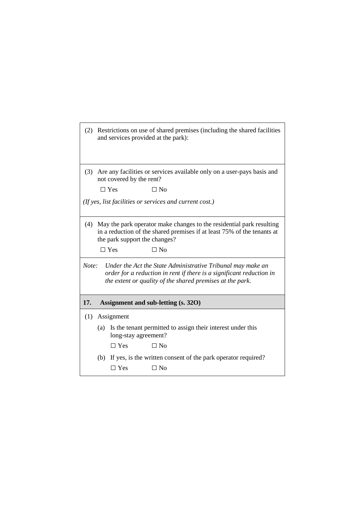|       |     | and services provided at the park): | (2) Restrictions on use of shared premises (including the shared facilities                                                                                                                      |
|-------|-----|-------------------------------------|--------------------------------------------------------------------------------------------------------------------------------------------------------------------------------------------------|
|       |     |                                     |                                                                                                                                                                                                  |
| (3)   |     | not covered by the rent?            | Are any facilities or services available only on a user-pays basis and                                                                                                                           |
|       |     | $\Box$ Yes                          | $\Box$ No                                                                                                                                                                                        |
|       |     |                                     | (If yes, list facilities or services and current cost.)                                                                                                                                          |
|       |     |                                     |                                                                                                                                                                                                  |
| (4)   |     | the park support the changes?       | May the park operator make changes to the residential park resulting<br>in a reduction of the shared premises if at least 75% of the tenants at                                                  |
|       |     | $\Box$ Yes                          | $\Box$ No                                                                                                                                                                                        |
| Note: |     |                                     | Under the Act the State Administrative Tribunal may make an<br>order for a reduction in rent if there is a significant reduction in<br>the extent or quality of the shared premises at the park. |
| 17.   |     |                                     | Assignment and sub-letting (s. 320)                                                                                                                                                              |
|       |     |                                     |                                                                                                                                                                                                  |
| (1)   |     | Assignment                          |                                                                                                                                                                                                  |
|       | (a) | long-stay agreement?                | Is the tenant permitted to assign their interest under this                                                                                                                                      |
|       |     | $\Box$ Yes                          | $\Box$ No                                                                                                                                                                                        |
|       | (b) |                                     | If yes, is the written consent of the park operator required?                                                                                                                                    |
|       |     | $\Box$ Yes                          | $\Box$ No                                                                                                                                                                                        |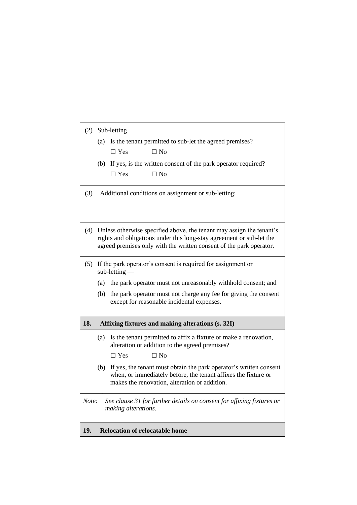| (2)   |                                                              | Sub-letting                                                                                                                                                                               |
|-------|--------------------------------------------------------------|-------------------------------------------------------------------------------------------------------------------------------------------------------------------------------------------|
|       |                                                              | (a) Is the tenant permitted to sub-let the agreed premises?                                                                                                                               |
|       |                                                              | $\Box$ No<br>$\Box$ Yes                                                                                                                                                                   |
|       |                                                              | (b) If yes, is the written consent of the park operator required?                                                                                                                         |
|       |                                                              | $\Box$ Yes<br>$\Box$ No                                                                                                                                                                   |
| (3)   |                                                              | Additional conditions on assignment or sub-letting:                                                                                                                                       |
|       |                                                              |                                                                                                                                                                                           |
|       |                                                              |                                                                                                                                                                                           |
| (4)   |                                                              | Unless otherwise specified above, the tenant may assign the tenant's                                                                                                                      |
|       |                                                              | rights and obligations under this long-stay agreement or sub-let the                                                                                                                      |
|       |                                                              | agreed premises only with the written consent of the park operator.                                                                                                                       |
| (5)   | If the park operator's consent is required for assignment or |                                                                                                                                                                                           |
|       |                                                              | $sub-letting$                                                                                                                                                                             |
|       |                                                              | (a) the park operator must not unreasonably withhold consent; and                                                                                                                         |
|       | (b)                                                          | the park operator must not charge any fee for giving the consent<br>except for reasonable incidental expenses.                                                                            |
|       |                                                              |                                                                                                                                                                                           |
| 18.   |                                                              | Affixing fixtures and making alterations (s. 32I)                                                                                                                                         |
|       | (a)                                                          | Is the tenant permitted to affix a fixture or make a renovation,<br>alteration or addition to the agreed premises?                                                                        |
|       |                                                              | $\Box$ Yes<br>$\Box$ No                                                                                                                                                                   |
|       |                                                              | (b) If yes, the tenant must obtain the park operator's written consent<br>when, or immediately before, the tenant affixes the fixture or<br>makes the renovation, alteration or addition. |
| Note: |                                                              | See clause 31 for further details on consent for affixing fixtures or<br>making alterations.                                                                                              |
| 19.   |                                                              | <b>Relocation of relocatable home</b>                                                                                                                                                     |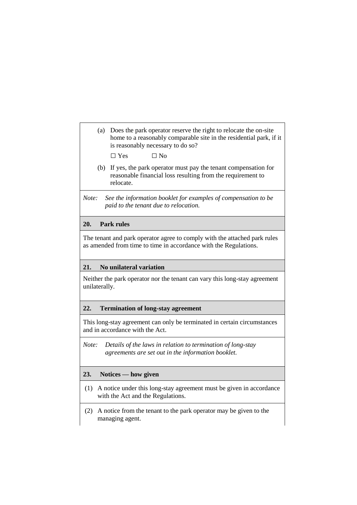(a) Does the park operator reserve the right to relocate the on-site home to a reasonably comparable site in the residential park, if it is reasonably necessary to do so?

 $\Box$  Yes  $\Box$  No

- (b) If yes, the park operator must pay the tenant compensation for reasonable financial loss resulting from the requirement to relocate.
- *Note: See the information booklet for examples of compensation to be paid to the tenant due to relocation.*

## **20. Park rules**

The tenant and park operator agree to comply with the attached park rules as amended from time to time in accordance with the Regulations.

#### **21. No unilateral variation**

Neither the park operator nor the tenant can vary this long-stay agreement unilaterally.

#### **22. Termination of long-stay agreement**

This long-stay agreement can only be terminated in certain circumstances and in accordance with the Act.

*Note: Details of the laws in relation to termination of long-stay agreements are set out in the information booklet.*

## **23. Notices — how given**

- (1) A notice under this long-stay agreement must be given in accordance with the Act and the Regulations.
- (2) A notice from the tenant to the park operator may be given to the managing agent.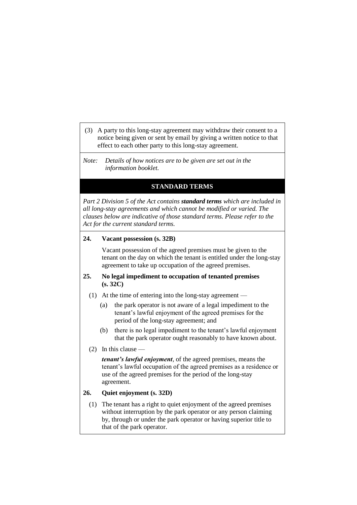(3) A party to this long-stay agreement may withdraw their consent to a notice being given or sent by email by giving a written notice to that effect to each other party to this long-stay agreement.

*Note: Details of how notices are to be given are set out in the information booklet.*

## **STANDARD TERMS**

*Part 2 Division 5 of the Act contains standard terms which are included in all long-stay agreements and which cannot be modified or varied. The clauses below are indicative of those standard terms. Please refer to the Act for the current standard terms.*

#### **24. Vacant possession (s. 32B)**

Vacant possession of the agreed premises must be given to the tenant on the day on which the tenant is entitled under the long-stay agreement to take up occupation of the agreed premises.

## **25. No legal impediment to occupation of tenanted premises (s. 32C)**

- (1) At the time of entering into the long-stay agreement
	- (a) the park operator is not aware of a legal impediment to the tenant's lawful enjoyment of the agreed premises for the period of the long-stay agreement; and
	- (b) there is no legal impediment to the tenant's lawful enjoyment that the park operator ought reasonably to have known about.
- (2) In this clause —

*tenant's lawful enjoyment*, of the agreed premises, means the tenant's lawful occupation of the agreed premises as a residence or use of the agreed premises for the period of the long-stay agreement.

## **26. Quiet enjoyment (s. 32D)**

(1) The tenant has a right to quiet enjoyment of the agreed premises without interruption by the park operator or any person claiming by, through or under the park operator or having superior title to that of the park operator.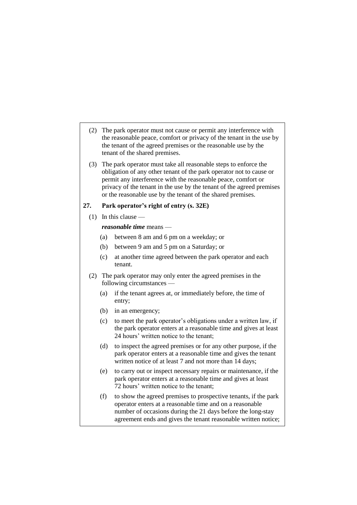- (2) The park operator must not cause or permit any interference with the reasonable peace, comfort or privacy of the tenant in the use by the tenant of the agreed premises or the reasonable use by the tenant of the shared premises.
- (3) The park operator must take all reasonable steps to enforce the obligation of any other tenant of the park operator not to cause or permit any interference with the reasonable peace, comfort or privacy of the tenant in the use by the tenant of the agreed premises or the reasonable use by the tenant of the shared premises.

#### **27. Park operator's right of entry (s. 32E)**

(1) In this clause —

#### *reasonable time* means —

- (a) between 8 am and 6 pm on a weekday; or
- (b) between 9 am and 5 pm on a Saturday; or
- (c) at another time agreed between the park operator and each tenant.
- (2) The park operator may only enter the agreed premises in the following circumstances —
	- (a) if the tenant agrees at, or immediately before, the time of entry;
	- (b) in an emergency;
	- (c) to meet the park operator's obligations under a written law, if the park operator enters at a reasonable time and gives at least 24 hours' written notice to the tenant;
	- (d) to inspect the agreed premises or for any other purpose, if the park operator enters at a reasonable time and gives the tenant written notice of at least 7 and not more than 14 days;
	- (e) to carry out or inspect necessary repairs or maintenance, if the park operator enters at a reasonable time and gives at least 72 hours' written notice to the tenant;
	- (f) to show the agreed premises to prospective tenants, if the park operator enters at a reasonable time and on a reasonable number of occasions during the 21 days before the long-stay agreement ends and gives the tenant reasonable written notice;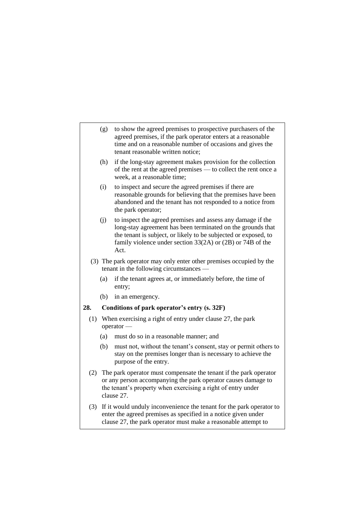- (g) to show the agreed premises to prospective purchasers of the agreed premises, if the park operator enters at a reasonable time and on a reasonable number of occasions and gives the tenant reasonable written notice;
- (h) if the long-stay agreement makes provision for the collection of the rent at the agreed premises — to collect the rent once a week, at a reasonable time;
- (i) to inspect and secure the agreed premises if there are reasonable grounds for believing that the premises have been abandoned and the tenant has not responded to a notice from the park operator;
- (j) to inspect the agreed premises and assess any damage if the long-stay agreement has been terminated on the grounds that the tenant is subject, or likely to be subjected or exposed, to family violence under section 33(2A) or (2B) or 74B of the Act.
- (3) The park operator may only enter other premises occupied by the tenant in the following circumstances —
	- (a) if the tenant agrees at, or immediately before, the time of entry;
	- (b) in an emergency.

### **28. Conditions of park operator's entry (s. 32F)**

- (1) When exercising a right of entry under clause 27, the park operator —
	- (a) must do so in a reasonable manner; and
	- (b) must not, without the tenant's consent, stay or permit others to stay on the premises longer than is necessary to achieve the purpose of the entry.
- (2) The park operator must compensate the tenant if the park operator or any person accompanying the park operator causes damage to the tenant's property when exercising a right of entry under clause 27.
- (3) If it would unduly inconvenience the tenant for the park operator to enter the agreed premises as specified in a notice given under clause 27, the park operator must make a reasonable attempt to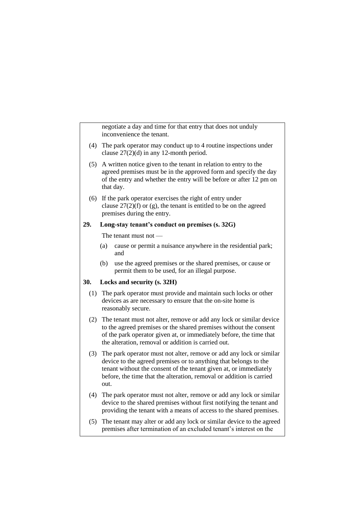negotiate a day and time for that entry that does not unduly inconvenience the tenant.

- (4) The park operator may conduct up to 4 routine inspections under clause 27(2)(d) in any 12-month period.
- (5) A written notice given to the tenant in relation to entry to the agreed premises must be in the approved form and specify the day of the entry and whether the entry will be before or after 12 pm on that day.
- (6) If the park operator exercises the right of entry under clause  $27(2)(f)$  or (g), the tenant is entitled to be on the agreed premises during the entry.

### **29. Long-stay tenant's conduct on premises (s. 32G)**

The tenant must not —

- (a) cause or permit a nuisance anywhere in the residential park; and
- (b) use the agreed premises or the shared premises, or cause or permit them to be used, for an illegal purpose.

## **30. Locks and security (s. 32H)**

- (1) The park operator must provide and maintain such locks or other devices as are necessary to ensure that the on-site home is reasonably secure.
- (2) The tenant must not alter, remove or add any lock or similar device to the agreed premises or the shared premises without the consent of the park operator given at, or immediately before, the time that the alteration, removal or addition is carried out.
- (3) The park operator must not alter, remove or add any lock or similar device to the agreed premises or to anything that belongs to the tenant without the consent of the tenant given at, or immediately before, the time that the alteration, removal or addition is carried out.
- (4) The park operator must not alter, remove or add any lock or similar device to the shared premises without first notifying the tenant and providing the tenant with a means of access to the shared premises.
- (5) The tenant may alter or add any lock or similar device to the agreed premises after termination of an excluded tenant's interest on the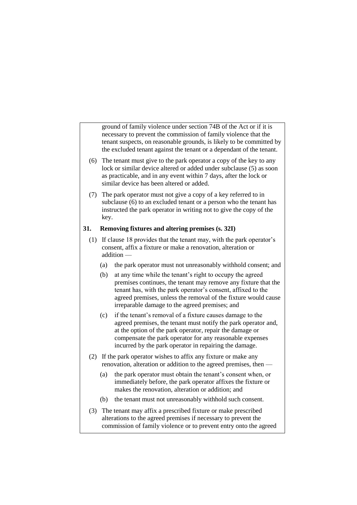ground of family violence under section 74B of the Act or if it is necessary to prevent the commission of family violence that the tenant suspects, on reasonable grounds, is likely to be committed by the excluded tenant against the tenant or a dependant of the tenant.

- (6) The tenant must give to the park operator a copy of the key to any lock or similar device altered or added under subclause (5) as soon as practicable, and in any event within 7 days, after the lock or similar device has been altered or added.
- (7) The park operator must not give a copy of a key referred to in subclause (6) to an excluded tenant or a person who the tenant has instructed the park operator in writing not to give the copy of the key.

### **31. Removing fixtures and altering premises (s. 32I)**

- (1) If clause 18 provides that the tenant may, with the park operator's consent, affix a fixture or make a renovation, alteration or addition —
	- (a) the park operator must not unreasonably withhold consent; and
	- (b) at any time while the tenant's right to occupy the agreed premises continues, the tenant may remove any fixture that the tenant has, with the park operator's consent, affixed to the agreed premises, unless the removal of the fixture would cause irreparable damage to the agreed premises; and
	- (c) if the tenant's removal of a fixture causes damage to the agreed premises, the tenant must notify the park operator and, at the option of the park operator, repair the damage or compensate the park operator for any reasonable expenses incurred by the park operator in repairing the damage.
- (2) If the park operator wishes to affix any fixture or make any renovation, alteration or addition to the agreed premises, then —
	- (a) the park operator must obtain the tenant's consent when, or immediately before, the park operator affixes the fixture or makes the renovation, alteration or addition; and
	- (b) the tenant must not unreasonably withhold such consent.
- (3) The tenant may affix a prescribed fixture or make prescribed alterations to the agreed premises if necessary to prevent the commission of family violence or to prevent entry onto the agreed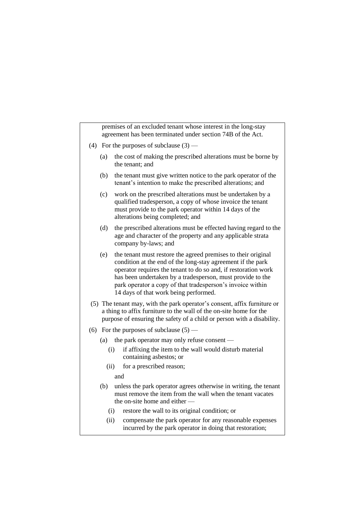premises of an excluded tenant whose interest in the long-stay agreement has been terminated under section 74B of the Act.

- (4) For the purposes of subclause  $(3)$ 
	- (a) the cost of making the prescribed alterations must be borne by the tenant; and
	- (b) the tenant must give written notice to the park operator of the tenant's intention to make the prescribed alterations; and
	- (c) work on the prescribed alterations must be undertaken by a qualified tradesperson, a copy of whose invoice the tenant must provide to the park operator within 14 days of the alterations being completed; and
	- (d) the prescribed alterations must be effected having regard to the age and character of the property and any applicable strata company by-laws; and
	- (e) the tenant must restore the agreed premises to their original condition at the end of the long-stay agreement if the park operator requires the tenant to do so and, if restoration work has been undertaken by a tradesperson, must provide to the park operator a copy of that tradesperson's invoice within 14 days of that work being performed.
- (5) The tenant may, with the park operator's consent, affix furniture or a thing to affix furniture to the wall of the on-site home for the purpose of ensuring the safety of a child or person with a disability.
- (6) For the purposes of subclause  $(5)$ 
	- (a) the park operator may only refuse consent
		- (i) if affixing the item to the wall would disturb material containing asbestos; or
		- (ii) for a prescribed reason;

and

- (b) unless the park operator agrees otherwise in writing, the tenant must remove the item from the wall when the tenant vacates the on-site home and either —
	- (i) restore the wall to its original condition; or
	- (ii) compensate the park operator for any reasonable expenses incurred by the park operator in doing that restoration;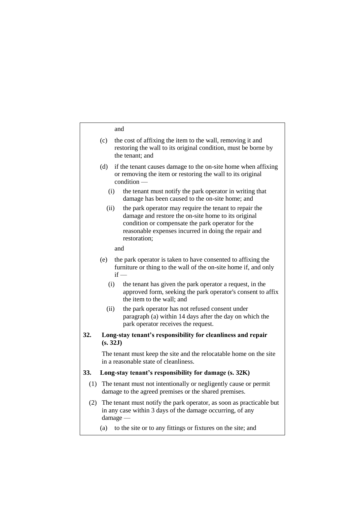#### and

| the cost of affixing the item to the wall, removing it and     |
|----------------------------------------------------------------|
| restoring the wall to its original condition, must be borne by |
| the tenant: and                                                |
|                                                                |

- (d) if the tenant causes damage to the on-site home when affixing or removing the item or restoring the wall to its original condition —
	- (i) the tenant must notify the park operator in writing that damage has been caused to the on-site home; and
	- (ii) the park operator may require the tenant to repair the damage and restore the on-site home to its original condition or compensate the park operator for the reasonable expenses incurred in doing the repair and restoration;

and

- (e) the park operator is taken to have consented to affixing the furniture or thing to the wall of the on-site home if, and only  $if -$ 
	- (i) the tenant has given the park operator a request, in the approved form, seeking the park operator's consent to affix the item to the wall; and
	- (ii) the park operator has not refused consent under paragraph (a) within 14 days after the day on which the park operator receives the request.
- **32. Long-stay tenant's responsibility for cleanliness and repair (s. 32J)**

The tenant must keep the site and the relocatable home on the site in a reasonable state of cleanliness.

## **33. Long-stay tenant's responsibility for damage (s. 32K)**

- (1) The tenant must not intentionally or negligently cause or permit damage to the agreed premises or the shared premises.
- (2) The tenant must notify the park operator, as soon as practicable but in any case within 3 days of the damage occurring, of any damage —
	- (a) to the site or to any fittings or fixtures on the site; and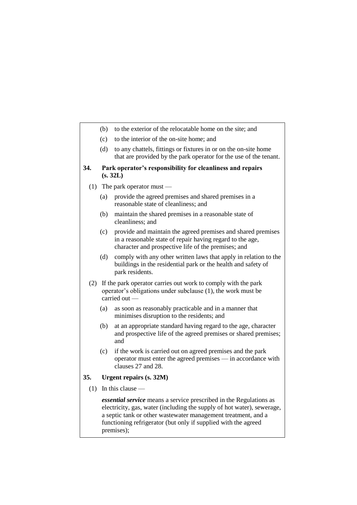- (b) to the exterior of the relocatable home on the site; and
- (c) to the interior of the on-site home; and
- (d) to any chattels, fittings or fixtures in or on the on-site home that are provided by the park operator for the use of the tenant.

#### **34. Park operator's responsibility for cleanliness and repairs (s. 32L)**

- (1) The park operator must
	- (a) provide the agreed premises and shared premises in a reasonable state of cleanliness; and
	- (b) maintain the shared premises in a reasonable state of cleanliness; and
	- (c) provide and maintain the agreed premises and shared premises in a reasonable state of repair having regard to the age, character and prospective life of the premises; and
	- (d) comply with any other written laws that apply in relation to the buildings in the residential park or the health and safety of park residents.
- (2) If the park operator carries out work to comply with the park operator's obligations under subclause (1), the work must be carried out —
	- (a) as soon as reasonably practicable and in a manner that minimises disruption to the residents; and
	- (b) at an appropriate standard having regard to the age, character and prospective life of the agreed premises or shared premises; and
	- (c) if the work is carried out on agreed premises and the park operator must enter the agreed premises — in accordance with clauses 27 and 28.

### **35. Urgent repairs (s. 32M)**

 $(1)$  In this clause —

*essential service* means a service prescribed in the Regulations as electricity, gas, water (including the supply of hot water), sewerage, a septic tank or other wastewater management treatment, and a functioning refrigerator (but only if supplied with the agreed premises);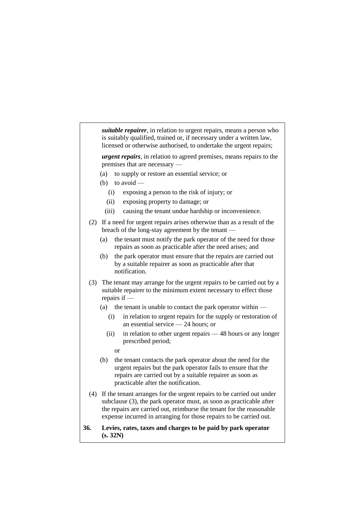*suitable repairer*, in relation to urgent repairs, means a person who is suitably qualified, trained or, if necessary under a written law, licensed or otherwise authorised, to undertake the urgent repairs;

*urgent repairs*, in relation to agreed premises, means repairs to the premises that are necessary —

- (a) to supply or restore an essential service; or
- (b) to avoid
	- (i) exposing a person to the risk of injury; or
	- (ii) exposing property to damage; or
	- (iii) causing the tenant undue hardship or inconvenience.
- (2) If a need for urgent repairs arises otherwise than as a result of the breach of the long-stay agreement by the tenant —
	- (a) the tenant must notify the park operator of the need for those repairs as soon as practicable after the need arises; and
	- (b) the park operator must ensure that the repairs are carried out by a suitable repairer as soon as practicable after that notification.
- (3) The tenant may arrange for the urgent repairs to be carried out by a suitable repairer to the minimum extent necessary to effect those repairs if —
	- (a) the tenant is unable to contact the park operator within  $-$ 
		- (i) in relation to urgent repairs for the supply or restoration of an essential service — 24 hours; or
		- (ii) in relation to other urgent repairs 48 hours or any longer prescribed period;
			- or
	- (b) the tenant contacts the park operator about the need for the urgent repairs but the park operator fails to ensure that the repairs are carried out by a suitable repairer as soon as practicable after the notification.
- (4) If the tenant arranges for the urgent repairs to be carried out under subclause (3), the park operator must, as soon as practicable after the repairs are carried out, reimburse the tenant for the reasonable expense incurred in arranging for those repairs to be carried out.
- **36. Levies, rates, taxes and charges to be paid by park operator (s. 32N)**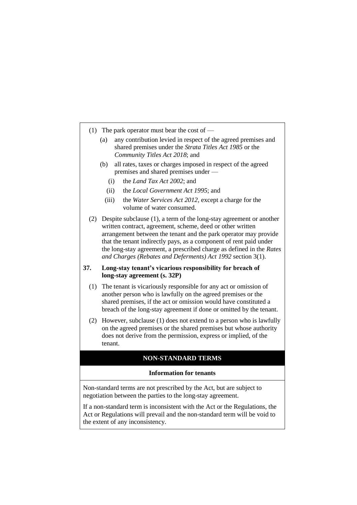- (1) The park operator must bear the cost of
	- (a) any contribution levied in respect of the agreed premises and shared premises under the *Strata Titles Act 1985* or the *Community Titles Act 2018*; and
	- (b) all rates, taxes or charges imposed in respect of the agreed premises and shared premises under —
		- (i) the *Land Tax Act 2002*; and
		- (ii) the *Local Government Act 1995*; and
		- (iii) the *Water Services Act 2012*, except a charge for the volume of water consumed.
- (2) Despite subclause (1), a term of the long-stay agreement or another written contract, agreement, scheme, deed or other written arrangement between the tenant and the park operator may provide that the tenant indirectly pays, as a component of rent paid under the long-stay agreement, a prescribed charge as defined in the *Rates and Charges (Rebates and Deferments) Act 1992* section 3(1).

#### **37. Long-stay tenant's vicarious responsibility for breach of long-stay agreement (s. 32P)**

- (1) The tenant is vicariously responsible for any act or omission of another person who is lawfully on the agreed premises or the shared premises, if the act or omission would have constituted a breach of the long-stay agreement if done or omitted by the tenant.
- (2) However, subclause (1) does not extend to a person who is lawfully on the agreed premises or the shared premises but whose authority does not derive from the permission, express or implied, of the tenant.

## **NON-STANDARD TERMS**

#### **Information for tenants**

Non-standard terms are not prescribed by the Act, but are subject to negotiation between the parties to the long-stay agreement.

If a non-standard term is inconsistent with the Act or the Regulations, the Act or Regulations will prevail and the non-standard term will be void to the extent of any inconsistency.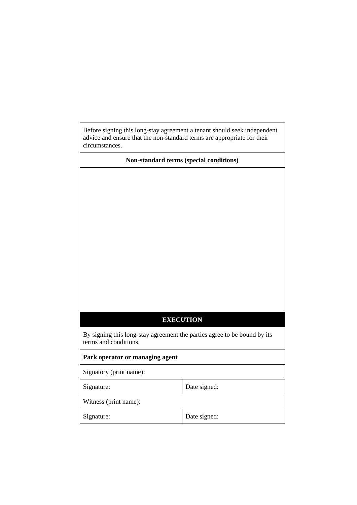Before signing this long-stay agreement a tenant should seek independent advice and ensure that the non-standard terms are appropriate for their circumstances.

**Non-standard terms (special conditions)**

## **EXECUTION**

By signing this long-stay agreement the parties agree to be bound by its terms and conditions.

**Park operator or managing agent**

Signatory (print name):

Signature: Date signed:

Witness (print name):

Signature: Date signed: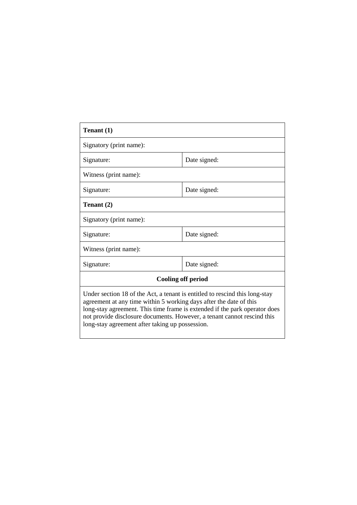| Tenant (1)                                                                                                                                                                                                                                                                                                                                                    |              |  |
|---------------------------------------------------------------------------------------------------------------------------------------------------------------------------------------------------------------------------------------------------------------------------------------------------------------------------------------------------------------|--------------|--|
| Signatory (print name):                                                                                                                                                                                                                                                                                                                                       |              |  |
| Signature:                                                                                                                                                                                                                                                                                                                                                    | Date signed: |  |
| Witness (print name):                                                                                                                                                                                                                                                                                                                                         |              |  |
| Signature:                                                                                                                                                                                                                                                                                                                                                    | Date signed: |  |
| Tenant (2)                                                                                                                                                                                                                                                                                                                                                    |              |  |
| Signatory (print name):                                                                                                                                                                                                                                                                                                                                       |              |  |
| Signature:                                                                                                                                                                                                                                                                                                                                                    | Date signed: |  |
| Witness (print name):                                                                                                                                                                                                                                                                                                                                         |              |  |
| Signature:                                                                                                                                                                                                                                                                                                                                                    | Date signed: |  |
| <b>Cooling off period</b>                                                                                                                                                                                                                                                                                                                                     |              |  |
| Under section 18 of the Act, a tenant is entitled to rescind this long-stay<br>agreement at any time within 5 working days after the date of this<br>long-stay agreement. This time frame is extended if the park operator does<br>not provide disclosure documents. However, a tenant cannot rescind this<br>long-stay agreement after taking up possession. |              |  |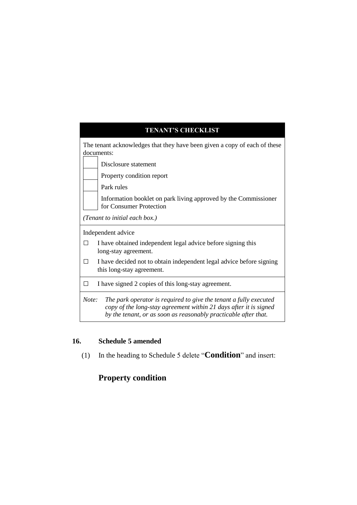# **TENANT'S CHECKLIST** The tenant acknowledges that they have been given a copy of each of these documents: Disclosure statement Property condition report Park rules Information booklet on park living approved by the Commissioner for Consumer Protection *(Tenant to initial each box.)* Independent advice  $\Box$  I have obtained independent legal advice before signing this long-stay agreement.  $\Box$  I have decided not to obtain independent legal advice before signing this long-stay agreement. □ I have signed 2 copies of this long-stay agreement. *Note: The park operator is required to give the tenant a fully executed copy of the long-stay agreement within 21 days after it is signed by the tenant, or as soon as reasonably practicable after that.*

## **16. Schedule 5 amended**

(1) In the heading to Schedule 5 delete "**Condition**" and insert:

# **Property condition**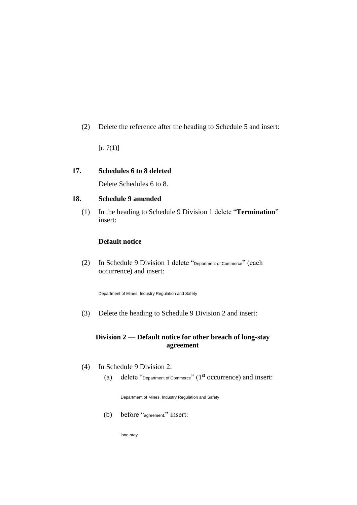(2) Delete the reference after the heading to Schedule 5 and insert:

 $[r. 7(1)]$ 

### **17. Schedules 6 to 8 deleted**

Delete Schedules 6 to 8.

### **18. Schedule 9 amended**

(1) In the heading to Schedule 9 Division 1 delete "**Termination**" insert:

### **Default notice**

(2) In Schedule 9 Division 1 delete "Department of Commerce" (each occurrence) and insert:

Department of Mines, Industry Regulation and Safety

(3) Delete the heading to Schedule 9 Division 2 and insert:

#### **Division 2 — Default notice for other breach of long-stay agreement**

- (4) In Schedule 9 Division 2:
	- (a) delete "Department of Commerce" (1<sup>st</sup> occurrence) and insert:

Department of Mines, Industry Regulation and Safety

(b) before "agreement." insert:

long-stay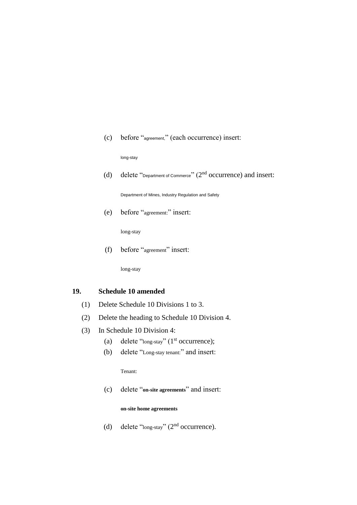(c) before "agreement," (each occurrence) insert:

long-stay

(d) delete "Department of Commerce"  $(2<sup>nd</sup>$  occurrence) and insert:

Department of Mines, Industry Regulation and Safety

(e) before "agreement:" insert:

long-stay

(f) before "agreement" insert:

long-stay

#### **19. Schedule 10 amended**

- (1) Delete Schedule 10 Divisions 1 to 3.
- (2) Delete the heading to Schedule 10 Division 4.
- (3) In Schedule 10 Division 4:
	- (a) delete "long-stay"  $(1<sup>st</sup> occurrence);$
	- (b) delete "Long-stay tenant:" and insert:

Tenant:

(c) delete "**on-site agreements**" and insert:

#### **on-site home agreements**

(d) delete "long-stay"  $(2<sup>nd</sup>$  occurrence).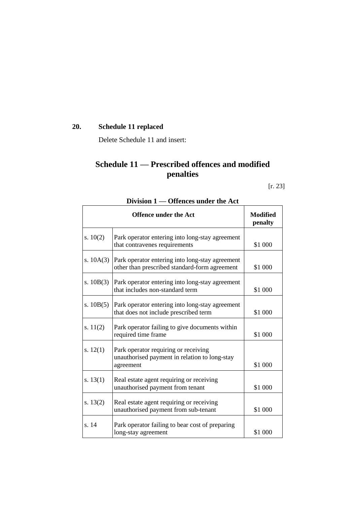# **20. Schedule 11 replaced**

Delete Schedule 11 and insert:

# **Schedule 11 — Prescribed offences and modified penalties**

[r. 23]

|             | <b>Offence under the Act</b>                                                                       | <b>Modified</b><br>penalty |
|-------------|----------------------------------------------------------------------------------------------------|----------------------------|
| s. $10(2)$  | Park operator entering into long-stay agreement<br>that contravenes requirements                   | \$1 000                    |
| s. $10A(3)$ | Park operator entering into long-stay agreement<br>other than prescribed standard-form agreement   | \$1 000                    |
| s. $10B(3)$ | Park operator entering into long-stay agreement<br>that includes non-standard term                 | \$1 000                    |
| s. $10B(5)$ | Park operator entering into long-stay agreement<br>that does not include prescribed term           | \$1 000                    |
| s. $11(2)$  | Park operator failing to give documents within<br>required time frame                              | \$1 000                    |
| s. $12(1)$  | Park operator requiring or receiving<br>unauthorised payment in relation to long-stay<br>agreement | \$1 000                    |
| s. $13(1)$  | Real estate agent requiring or receiving<br>unauthorised payment from tenant                       | \$1 000                    |
| s. $13(2)$  | Real estate agent requiring or receiving<br>unauthorised payment from sub-tenant                   | \$1 000                    |
| s. 14       | Park operator failing to bear cost of preparing<br>long-stay agreement                             | \$1 000                    |

## **Division 1 — Offences under the Act**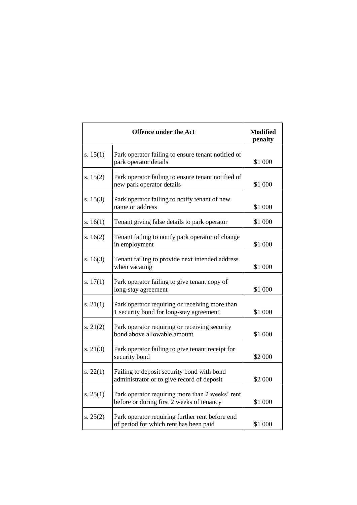|            | <b>Offence under the Act</b>                                                                 | <b>Modified</b><br>penalty |
|------------|----------------------------------------------------------------------------------------------|----------------------------|
| s. $15(1)$ | Park operator failing to ensure tenant notified of<br>park operator details                  | \$1 000                    |
| s. $15(2)$ | Park operator failing to ensure tenant notified of<br>new park operator details              | \$1 000                    |
| s. $15(3)$ | Park operator failing to notify tenant of new<br>name or address                             | \$1 000                    |
| s. $16(1)$ | Tenant giving false details to park operator                                                 | \$1 000                    |
| s. $16(2)$ | Tenant failing to notify park operator of change<br>in employment                            | \$1 000                    |
| s. $16(3)$ | Tenant failing to provide next intended address<br>when vacating                             | \$1 000                    |
| s. $17(1)$ | Park operator failing to give tenant copy of<br>long-stay agreement                          | \$1 000                    |
| s. $21(1)$ | Park operator requiring or receiving more than<br>1 security bond for long-stay agreement    | \$1 000                    |
| s. $21(2)$ | Park operator requiring or receiving security<br>bond above allowable amount                 | \$1 000                    |
| s. 21(3)   | Park operator failing to give tenant receipt for<br>security bond                            | \$2 000                    |
| s. $22(1)$ | Failing to deposit security bond with bond<br>administrator or to give record of deposit     | \$2 000                    |
| s. $25(1)$ | Park operator requiring more than 2 weeks' rent<br>before or during first 2 weeks of tenancy | \$1 000                    |
| s. $25(2)$ | Park operator requiring further rent before end<br>of period for which rent has been paid    | \$1 000                    |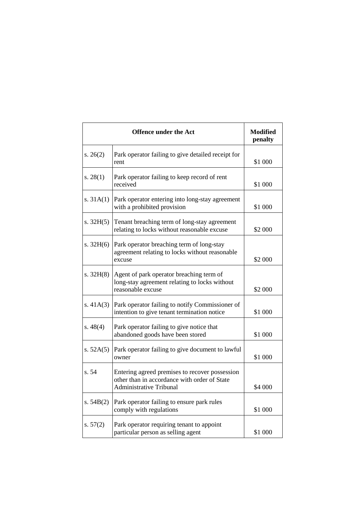|             | <b>Offence under the Act</b>                                                                                                     | <b>Modified</b><br>penalty |
|-------------|----------------------------------------------------------------------------------------------------------------------------------|----------------------------|
| s. $26(2)$  | Park operator failing to give detailed receipt for<br>rent                                                                       | \$1 000                    |
| s. $28(1)$  | Park operator failing to keep record of rent<br>received                                                                         | \$1 000                    |
| s. $31A(1)$ | Park operator entering into long-stay agreement<br>with a prohibited provision                                                   | \$1 000                    |
| s. $32H(5)$ | Tenant breaching term of long-stay agreement<br>relating to locks without reasonable excuse                                      | \$2 000                    |
| s. $32H(6)$ | Park operator breaching term of long-stay<br>agreement relating to locks without reasonable<br>excuse                            | \$2 000                    |
| s. 32H(8)   | Agent of park operator breaching term of<br>long-stay agreement relating to locks without<br>reasonable excuse                   | \$2 000                    |
| s. $41A(3)$ | Park operator failing to notify Commissioner of<br>intention to give tenant termination notice                                   | \$1 000                    |
| s. $48(4)$  | Park operator failing to give notice that<br>abandoned goods have been stored                                                    | \$1 000                    |
| s. $52A(5)$ | Park operator failing to give document to lawful<br>owner                                                                        | \$1 000                    |
| s. 54       | Entering agreed premises to recover possession<br>other than in accordance with order of State<br><b>Administrative Tribunal</b> | \$4 000                    |
| s. $54B(2)$ | Park operator failing to ensure park rules<br>comply with regulations                                                            | \$1 000                    |
| s. $57(2)$  | Park operator requiring tenant to appoint<br>particular person as selling agent                                                  | \$1 000                    |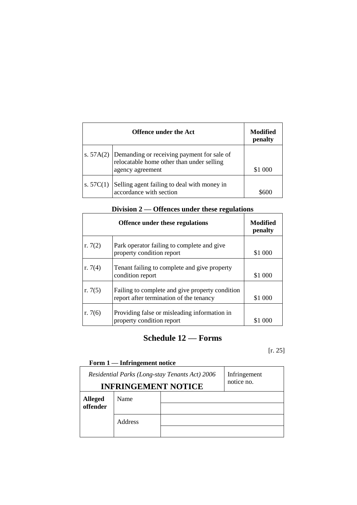|             | <b>Offence under the Act</b>                                                                                            | Modified<br>penalty |
|-------------|-------------------------------------------------------------------------------------------------------------------------|---------------------|
|             | s. $57A(2)$ Demanding or receiving payment for sale of<br>relocatable home other than under selling<br>agency agreement | \$1 000             |
| s. $57C(1)$ | Selling agent failing to deal with money in<br>accordance with section                                                  |                     |

| Division 2 — Offences under these regulations |  |
|-----------------------------------------------|--|
|-----------------------------------------------|--|

|           | <b>Offence under these regulations</b>                                                     | Modified<br>penalty |
|-----------|--------------------------------------------------------------------------------------------|---------------------|
| r. $7(2)$ | Park operator failing to complete and give<br>property condition report                    | \$1 000             |
| r. $7(4)$ | Tenant failing to complete and give property<br>condition report                           | \$1 000             |
| r. $7(5)$ | Failing to complete and give property condition<br>report after termination of the tenancy | \$1 000             |
| r. $7(6)$ | Providing false or misleading information in<br>property condition report                  |                     |

# **Schedule 12 — Forms**

[r. 25]

# **Form 1 — Infringement notice**

| Residential Parks (Long-stay Tenants Act) 2006<br><b>INFRINGEMENT NOTICE</b> |         | Infringement<br>notice no. |  |
|------------------------------------------------------------------------------|---------|----------------------------|--|
| <b>Alleged</b><br>offender                                                   | Name    |                            |  |
|                                                                              | Address |                            |  |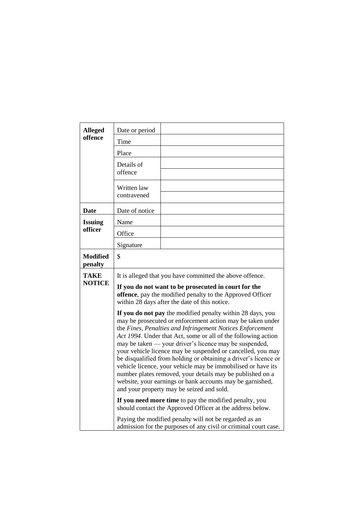| <b>Alleged</b>               | Date or period             |                                                                                                                                                                                                                                                                                                                                                                                                                                                                                                                                                                                                                                                                                                                                                                                                                                                                                                                                                                                                                                                    |
|------------------------------|----------------------------|----------------------------------------------------------------------------------------------------------------------------------------------------------------------------------------------------------------------------------------------------------------------------------------------------------------------------------------------------------------------------------------------------------------------------------------------------------------------------------------------------------------------------------------------------------------------------------------------------------------------------------------------------------------------------------------------------------------------------------------------------------------------------------------------------------------------------------------------------------------------------------------------------------------------------------------------------------------------------------------------------------------------------------------------------|
| offence                      | Time                       |                                                                                                                                                                                                                                                                                                                                                                                                                                                                                                                                                                                                                                                                                                                                                                                                                                                                                                                                                                                                                                                    |
|                              | Place                      |                                                                                                                                                                                                                                                                                                                                                                                                                                                                                                                                                                                                                                                                                                                                                                                                                                                                                                                                                                                                                                                    |
|                              | Details of                 |                                                                                                                                                                                                                                                                                                                                                                                                                                                                                                                                                                                                                                                                                                                                                                                                                                                                                                                                                                                                                                                    |
|                              | offence                    |                                                                                                                                                                                                                                                                                                                                                                                                                                                                                                                                                                                                                                                                                                                                                                                                                                                                                                                                                                                                                                                    |
|                              | Written law<br>contravened |                                                                                                                                                                                                                                                                                                                                                                                                                                                                                                                                                                                                                                                                                                                                                                                                                                                                                                                                                                                                                                                    |
| Date                         | Date of notice             |                                                                                                                                                                                                                                                                                                                                                                                                                                                                                                                                                                                                                                                                                                                                                                                                                                                                                                                                                                                                                                                    |
| <b>Issuing</b>               | Name                       |                                                                                                                                                                                                                                                                                                                                                                                                                                                                                                                                                                                                                                                                                                                                                                                                                                                                                                                                                                                                                                                    |
| officer                      | Office                     |                                                                                                                                                                                                                                                                                                                                                                                                                                                                                                                                                                                                                                                                                                                                                                                                                                                                                                                                                                                                                                                    |
|                              | Signature                  |                                                                                                                                                                                                                                                                                                                                                                                                                                                                                                                                                                                                                                                                                                                                                                                                                                                                                                                                                                                                                                                    |
| <b>Modified</b><br>penalty   | \$                         |                                                                                                                                                                                                                                                                                                                                                                                                                                                                                                                                                                                                                                                                                                                                                                                                                                                                                                                                                                                                                                                    |
| <b>TAKE</b><br><b>NOTICE</b> |                            | It is alleged that you have committed the above offence.<br>If you do not want to be prosecuted in court for the<br>offence, pay the modified penalty to the Approved Officer<br>within 28 days after the date of this notice.<br>If you do not pay the modified penalty within 28 days, you<br>may be prosecuted or enforcement action may be taken under<br>the Fines, Penalties and Infringement Notices Enforcement<br>Act 1994. Under that Act, some or all of the following action<br>may be taken — your driver's licence may be suspended,<br>your vehicle licence may be suspended or cancelled, you may<br>be disqualified from holding or obtaining a driver's licence or<br>vehicle licence, your vehicle may be immobilised or have its<br>number plates removed, your details may be published on a<br>website, your earnings or bank accounts may be garnished,<br>and your property may be seized and sold.<br>If you need more time to pay the modified penalty, you<br>should contact the Approved Officer at the address below. |
|                              |                            | Paying the modified penalty will not be regarded as an<br>admission for the purposes of any civil or criminal court case.                                                                                                                                                                                                                                                                                                                                                                                                                                                                                                                                                                                                                                                                                                                                                                                                                                                                                                                          |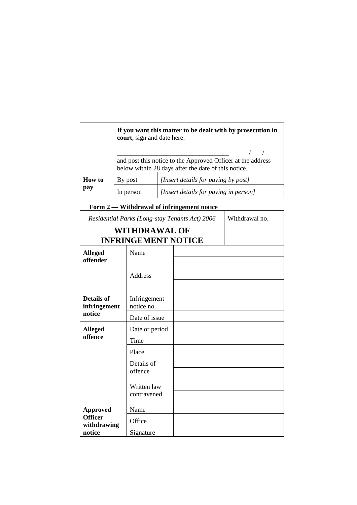|               |         | If you want this matter to be dealt with by prosecution in<br>court, sign and date here:                           |  |  |
|---------------|---------|--------------------------------------------------------------------------------------------------------------------|--|--|
|               |         | and post this notice to the Approved Officer at the address<br>below within 28 days after the date of this notice. |  |  |
| <b>How</b> to | By post | [Insert details for paying by post]                                                                                |  |  |
| pay           | person  | [Insert details for paying in person]                                                                              |  |  |

**Form 2 — Withdrawal of infringement notice**

| Residential Parks (Long-stay Tenants Act) 2006 |                                                    |  | Withdrawal no. |
|------------------------------------------------|----------------------------------------------------|--|----------------|
|                                                | <b>WITHDRAWAL OF</b><br><b>INFRINGEMENT NOTICE</b> |  |                |
| <b>Alleged</b><br>offender                     | Name                                               |  |                |
|                                                | Address                                            |  |                |
| <b>Details of</b><br>infringement              | Infringement<br>notice no.                         |  |                |
| notice                                         | Date of issue                                      |  |                |
| <b>Alleged</b><br>offence                      | Date or period                                     |  |                |
|                                                | Time                                               |  |                |
|                                                | Place                                              |  |                |
|                                                | Details of                                         |  |                |
|                                                | offence                                            |  |                |
|                                                | Written law                                        |  |                |
|                                                | contravened                                        |  |                |
| <b>Approved</b>                                | Name                                               |  |                |
| <b>Officer</b><br>withdrawing                  | Office                                             |  |                |
| notice                                         | Signature                                          |  |                |